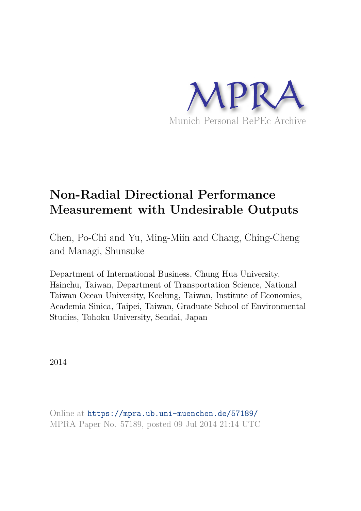

# **Non-Radial Directional Performance Measurement with Undesirable Outputs**

Chen, Po-Chi and Yu, Ming-Miin and Chang, Ching-Cheng and Managi, Shunsuke

Department of International Business, Chung Hua University, Hsinchu, Taiwan, Department of Transportation Science, National Taiwan Ocean University, Keelung, Taiwan, Institute of Economics, Academia Sinica, Taipei, Taiwan, Graduate School of Environmental Studies, Tohoku University, Sendai, Japan

2014

Online at https://mpra.ub.uni-muenchen.de/57189/ MPRA Paper No. 57189, posted 09 Jul 2014 21:14 UTC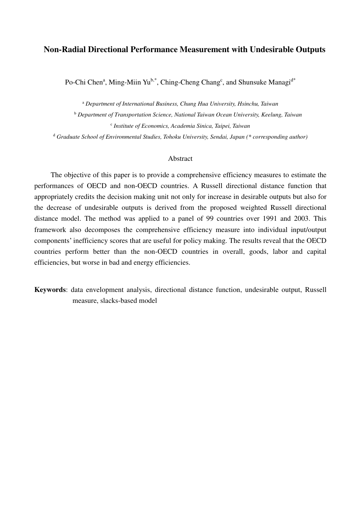# **Non-Radial Directional Performance Measurement with Undesirable Outputs**

Po-Chi Chen<sup>a</sup>, Ming-Miin Yu<sup>b,\*</sup>, Ching-Cheng Chang<sup>c</sup>, and Shunsuke Managi<sup>d\*</sup>

<sup>a</sup> *Department of International Business, Chung Hua University, Hsinchu, Taiwan*  <sup>b</sup> *Department of Transportation Science, National Taiwan Ocean University, Keelung, Taiwan*  c *Institute of Economics, Academia Sinica, Taipei, Taiwan*  <sup>d</sup> *Graduate School of Environmental Studies, Tohoku University, Sendai, Japan (\* corresponding author)*

## Abstract

The objective of this paper is to provide a comprehensive efficiency measures to estimate the performances of OECD and non-OECD countries. A Russell directional distance function that appropriately credits the decision making unit not only for increase in desirable outputs but also for the decrease of undesirable outputs is derived from the proposed weighted Russell directional distance model. The method was applied to a panel of 99 countries over 1991 and 2003. This framework also decomposes the comprehensive efficiency measure into individual input/output components' inefficiency scores that are useful for policy making. The results reveal that the OECD countries perform better than the non-OECD countries in overall, goods, labor and capital efficiencies, but worse in bad and energy efficiencies.

**Keywords**: data envelopment analysis, directional distance function, undesirable output, Russell measure, slacks-based model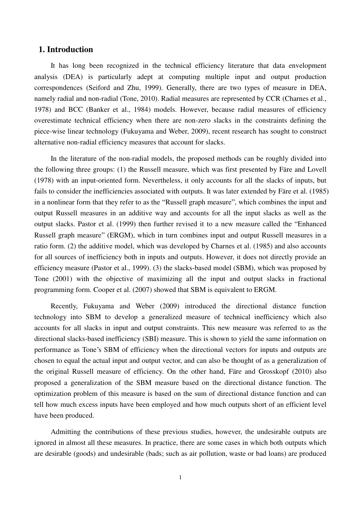# **1. Introduction**

It has long been recognized in the technical efficiency literature that data envelopment analysis (DEA) is particularly adept at computing multiple input and output production correspondences (Seiford and Zhu, 1999). Generally, there are two types of measure in DEA, namely radial and non-radial (Tone, 2010). Radial measures are represented by CCR (Charnes et al., 1978) and BCC (Banker et al., 1984) models. However, because radial measures of efficiency overestimate technical efficiency when there are non-zero slacks in the constraints defining the piece-wise linear technology (Fukuyama and Weber, 2009), recent research has sought to construct alternative non-radial efficiency measures that account for slacks.

In the literature of the non-radial models, the proposed methods can be roughly divided into the following three groups: (1) the Russell measure, which was first presented by Färe and Lovell (1978) with an input-oriented form. Nevertheless, it only accounts for all the slacks of inputs, but fails to consider the inefficiencies associated with outputs. It was later extended by Färe et al. (1985) in a nonlinear form that they refer to as the "Russell graph measure", which combines the input and output Russell measures in an additive way and accounts for all the input slacks as well as the output slacks. Pastor et al. (1999) then further revised it to a new measure called the "Enhanced Russell graph measure" (ERGM), which in turn combines input and output Russell measures in a ratio form. (2) the additive model, which was developed by Charnes et al. (1985) and also accounts for all sources of inefficiency both in inputs and outputs. However, it does not directly provide an efficiency measure (Pastor et al., 1999). (3) the slacks-based model (SBM), which was proposed by Tone (2001) with the objective of maximizing all the input and output slacks in fractional programming form. Cooper et al. (2007) showed that SBM is equivalent to ERGM.

Recently, Fukuyama and Weber (2009) introduced the directional distance function technology into SBM to develop a generalized measure of technical inefficiency which also accounts for all slacks in input and output constraints. This new measure was referred to as the directional slacks-based inefficiency (SBI) measure. This is shown to yield the same information on performance as Tone's SBM of efficiency when the directional vectors for inputs and outputs are chosen to equal the actual input and output vector, and can also be thought of as a generalization of the original Russell measure of efficiency. On the other hand, Färe and Grosskopf (2010) also proposed a generalization of the SBM measure based on the directional distance function. The optimization problem of this measure is based on the sum of directional distance function and can tell how much excess inputs have been employed and how much outputs short of an efficient level have been produced.

Admitting the contributions of these previous studies, however, the undesirable outputs are ignored in almost all these measures. In practice, there are some cases in which both outputs which are desirable (goods) and undesirable (bads; such as air pollution, waste or bad loans) are produced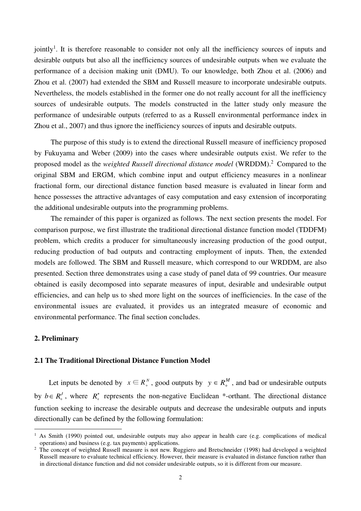jointly<sup>1</sup>. It is therefore reasonable to consider not only all the inefficiency sources of inputs and desirable outputs but also all the inefficiency sources of undesirable outputs when we evaluate the performance of a decision making unit (DMU). To our knowledge, both Zhou et al. (2006) and Zhou et al. (2007) had extended the SBM and Russell measure to incorporate undesirable outputs. Nevertheless, the models established in the former one do not really account for all the inefficiency sources of undesirable outputs. The models constructed in the latter study only measure the performance of undesirable outputs (referred to as a Russell environmental performance index in Zhou et al., 2007) and thus ignore the inefficiency sources of inputs and desirable outputs.

The purpose of this study is to extend the directional Russell measure of inefficiency proposed by Fukuyama and Weber (2009) into the cases where undesirable outputs exist. We refer to the proposed model as the *weighted Russell directional distance model* (WRDDM). 2 Compared to the original SBM and ERGM, which combine input and output efficiency measures in a nonlinear fractional form, our directional distance function based measure is evaluated in linear form and hence possesses the attractive advantages of easy computation and easy extension of incorporating the additional undesirable outputs into the programming problems.

The remainder of this paper is organized as follows. The next section presents the model. For comparison purpose, we first illustrate the traditional directional distance function model (TDDFM) problem, which credits a producer for simultaneously increasing production of the good output, reducing production of bad outputs and contracting employment of inputs. Then, the extended models are followed. The SBM and Russell measure, which correspond to our WRDDM, are also presented. Section three demonstrates using a case study of panel data of 99 countries. Our measure obtained is easily decomposed into separate measures of input, desirable and undesirable output efficiencies, and can help us to shed more light on the sources of inefficiencies. In the case of the environmental issues are evaluated, it provides us an integrated measure of economic and environmental performance. The final section concludes.

## **2. Preliminary**

-

#### **2.1 The Traditional Directional Distance Function Model**

Let inputs be denoted by  $x \in R_+^N$ , good outputs by  $y \in R_+^M$ , and bad or undesirable outputs by  $b \in R_+^J$ , where  $R_+^*$  $x^*$  represents the non-negative Euclidean  $*$ -orthant. The directional distance function seeking to increase the desirable outputs and decrease the undesirable outputs and inputs directionally can be defined by the following formulation:

<sup>&</sup>lt;sup>1</sup> As Smith (1990) pointed out, undesirable outputs may also appear in health care (e.g. complications of medical operations) and business (e.g. tax payments) applications.

<sup>&</sup>lt;sup>2</sup> The concept of weighted Russell measure is not new. Ruggiero and Bretschneider (1998) had developed a weighted Russell measure to evaluate technical efficiency. However, their measure is evaluated in distance function rather than in directional distance function and did not consider undesirable outputs, so it is different from our measure.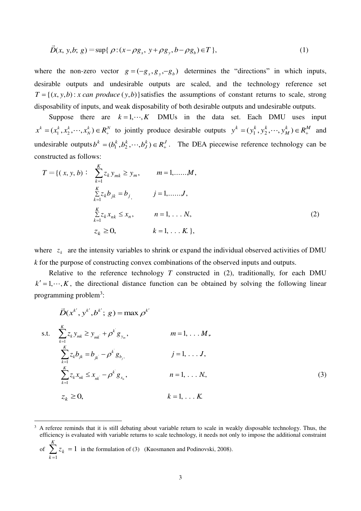$$
\vec{D}(x, y, b; g) = \sup \{ \rho : (x - \rho g_x, y + \rho g_y, b - \rho g_b) \in T \},
$$
\n(1)

where the non-zero vector  $g = (-g_x, g_y, -g_b)$  determines the "directions" in which inputs, desirable outputs and undesirable outputs are scaled, and the technology reference set  $T = \{(x, y, b) : x \text{ can produce } (y, b)\}$  satisfies the assumptions of constant returns to scale, strong disposability of inputs, and weak disposability of both desirable outputs and undesirable outputs.

Suppose there are  $k = 1, \dots, K$  DMUs in the data set. Each DMU uses input  $k \rightarrow -p^N$ *N*  $x^{k} = (x_{1}^{k}, x_{2}^{k}, \dots, x_{N}^{k}) \in R_{+}^{N}$  to jointly produce desirable outputs  $y^{k} = (y_{1}^{k}, y_{2}^{k}, \dots, y_{M}^{k}) \in R_{+}^{M}$  $y^k = (y_1^k, y_2^k, \dots, y_M^k) \in R_+^M$  and undesirable outputs  $b^k = (b_1^k, b_2^k, \dots, b_J^k) \in R_+^J$  $b^k = (b_1^k, b_2^k, \dots, b_J^k) \in R_+^J$ . The DEA piecewise reference technology can be constructed as follows:

$$
T = \{ (x, y, b) : \sum_{k=1}^{K} z_k y_{mk} \ge y_m, \qquad m = 1, \dots, M,
$$
  

$$
\sum_{k=1}^{K} z_k b_{jk} = b_j, \qquad j = 1, \dots, J,
$$
  

$$
\sum_{k=1}^{K} z_k x_{nk} \le x_n, \qquad n = 1, \dots, N,
$$
  

$$
z_k \ge 0, \qquad k = 1, \dots, K, \qquad (2)
$$

where  $z_k$  are the intensity variables to shrink or expand the individual observed activities of DMU *k* for the purpose of constructing convex combinations of the observed inputs and outputs.

Relative to the reference technology  $T$  constructed in  $(2)$ , traditionally, for each DMU  $k' = 1, \dots, K$ , the directional distance function can be obtained by solving the following linear programming problem<sup>3</sup>:

$$
\vec{D}(x^{k'}, y^{k'}, b^{k'}; g) = \max \rho^{k'}
$$
\ns.t. 
$$
\sum_{k=1}^{K} z_k y_{mk} \ge y_{mk'} + \rho^{k'} g_{y_m}, \qquad m = 1, \dots M,
$$
\n
$$
\sum_{k=1}^{K} z_k b_{jk} = b_{jk} - \rho^{k'} g_{b_j}, \qquad j = 1, \dots J,
$$
\n
$$
\sum_{k=1}^{K} z_k x_{nk} \le x_{nk} - \rho^{k'} g_{x_n}, \qquad n = 1, \dots N,
$$
\n(3)\n
$$
z_k \ge 0, \qquad k = 1, \dots K.
$$

of 
$$
\sum_{k=1} z_k = 1
$$
 in the formulation of (3) (Kuosmanen and Podinovski, 2008).

-

<sup>3</sup> A referee reminds that it is still debating about variable return to scale in weakly disposable technology. Thus, the efficiency is evaluated with variable returns to scale technology, it needs not only to impose the additional constraint *K*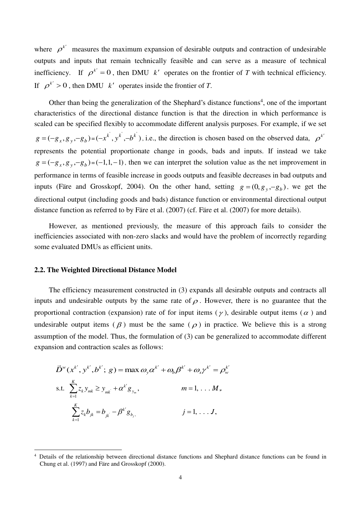where  $\rho^{k'}$  measures the maximum expansion of desirable outputs and contraction of undesirable outputs and inputs that remain technically feasible and can serve as a measure of technical inefficiency. If  $\rho^{k'} = 0$ , then DMU *k'* operates on the frontier of *T* with technical efficiency. If  $\rho^{k'} > 0$ , then DMU *k'* operates inside the frontier of *T*.

Other than being the generalization of the Shephard's distance functions<sup>4</sup>, one of the important characteristics of the directional distance function is that the direction in which performance is scaled can be specified flexibly to accommodate different analysis purposes. For example, if we set  $g = (-g_x, g_y, -g_b) = (-x^k, y^k, -b^k)$ , i.e., the direction is chosen based on the observed data,  $\rho^{k'}$ represents the potential proportionate change in goods, bads and inputs. If instead we take  $g = (-g_x, g_y, -g_b) = (-1, 1, -1)$ , then we can interpret the solution value as the net improvement in performance in terms of feasible increase in goods outputs and feasible decreases in bad outputs and inputs (Färe and Grosskopf, 2004). On the other hand, setting  $g = (0, g_y, -g_b)$ , we get the directional output (including goods and bads) distance function or environmental directional output distance function as referred to by Färe et al. (2007) (cf. Färe et al. (2007) for more details).

However, as mentioned previously, the measure of this approach fails to consider the inefficiencies associated with non-zero slacks and would have the problem of incorrectly regarding some evaluated DMUs as efficient units.

## **2.2. The Weighted Directional Distance Model**

The efficiency measurement constructed in (3) expands all desirable outputs and contracts all inputs and undesirable outputs by the same rate of  $\rho$ . However, there is no guarantee that the proportional contraction (expansion) rate of for input items ( $\gamma$ ), desirable output items ( $\alpha$ ) and undesirable output items  $(\beta)$  must be the same  $(\rho)$  in practice. We believe this is a strong assumption of the model. Thus, the formulation of (3) can be generalized to accommodate different expansion and contraction scales as follows:

$$
\vec{D}^{w}(x^{k'}, y^{k'}, b^{k'}; g) = \max \omega_{y} \alpha^{k'} + \omega_{b} \beta^{k'} + \omega_{x} \gamma^{k'} = \rho_{w}^{k'}
$$
  
s.t. 
$$
\sum_{k=1}^{K} z_{k} y_{mk} \ge y_{mk} + \alpha^{k'} g_{y_{m}}, \qquad m = 1, ..., M,
$$

$$
\sum_{k=1}^{K} z_{k} b_{jk} = b_{jk} - \beta^{k'} g_{b_{j}}, \qquad j = 1, ..., J,
$$

<sup>-</sup>4 Details of the relationship between directional distance functions and Shephard distance functions can be found in Chung et al. (1997) and Färe and Grosskopf (2000).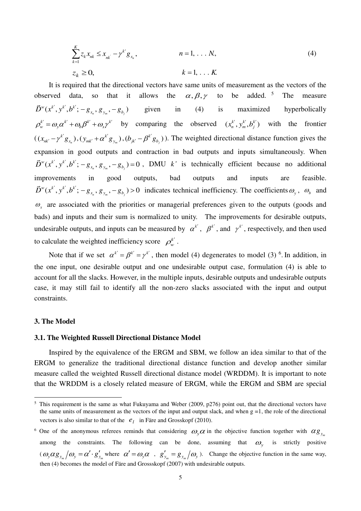$$
\sum_{k=1}^{K} z_{k} x_{nk} \leq x_{nk} - \gamma^{k'} g_{x_{n}}, \qquad n = 1, \dots, N,
$$
\n
$$
z_{k} \geq 0, \qquad k = 1, \dots, K.
$$
\n(4)

It is required that the directional vectors have same units of measurement as the vectors of the observed data, so that it allows the  $\alpha, \beta, \gamma$  to be added.<sup>5</sup> The measure  $\vec{D}^w(x^k', y^{k'}, b^{k'}; -g_{x_n}, g_{y_m}, -g_{b_j})$  given in (4) is maximized hyperbolically  $\rho_w^k = \omega_y \alpha^k + \omega_b \beta^k + \omega_x \gamma^k$  by comparing the observed  $(x_n^k, y_m^k, b_j^k)$  with the frontier  $((x_{nk'} - \gamma^{k'} g_{x_n}))$  $(x_{nk'} - \gamma^{k'} g_{x_n}), (y_{mk'} + \alpha^{k'} g_{y_m})$  $y_{\scriptscriptstyle{mk'}} + \alpha^{k'} g_{y_{\scriptscriptstyle{m}}}$ ),  $(b_{\scriptscriptstyle{j}k'} - \beta^{k'} g_{b_j})$  $b_{jk'} - \beta^{k'} g_{b_j}$ ). The weighted directional distance function gives the expansion in good outputs and contraction in bad outputs and inputs simultaneously. When  $\vec{D}^w(x^k', y^{k'}, b^{k'}; -g_{x_n}, g_{y_m}, -g_{b_j}) = 0$ , DMU *k'* is technically efficient because no additional improvements in good outputs, bad outputs and inputs are feasible.  $\vec{D}^w(x^k', y^{k'}, b^{k'}; -g_{x_n}, g_{y_m}, -g_{b_j}) > 0$  indicates technical inefficiency. The coefficients  $\omega_y$ ,  $\omega_b$  and  $\omega$ <sub>x</sub> are associated with the priorities or managerial preferences given to the outputs (goods and bads) and inputs and their sum is normalized to unity. The improvements for desirable outputs, undesirable outputs, and inputs can be measured by  $\alpha^{k'}$ ,  $\beta^{k'}$ , and  $\gamma^{k'}$ , respectively, and then used to calculate the weighted inefficiency score  $\rho_w^{k'}$ .

Note that if we set  $\alpha^{k'} = \beta^{k'} = \gamma^{k'}$ , then model (4) degenerates to model (3)<sup>6</sup>. In addition, in the one input, one desirable output and one undesirable output case, formulation (4) is able to account for all the slacks. However, in the multiple inputs, desirable outputs and undesirable outputs case, it may still fail to identify all the non-zero slacks associated with the input and output constraints.

#### **3. The Model**

-

#### **3.1. The Weighted Russell Directional Distance Model**

Inspired by the equivalence of the ERGM and SBM, we follow an idea similar to that of the ERGM to generalize the traditional directional distance function and develop another similar measure called the weighted Russell directional distance model (WRDDM). It is important to note that the WRDDM is a closely related measure of ERGM, while the ERGM and SBM are special

<sup>5</sup> This requirement is the same as what Fukuyama and Weber (2009, p276) point out, that the directional vectors have the same units of measurement as the vectors of the input and output slack, and when  $g = 1$ , the role of the directional vectors is also similar to that of the  $e_l$  in Färe and Grosskopf (2010).

<sup>&</sup>lt;sup>6</sup> One of the anonymous referees reminds that considering  $\omega_y \alpha$  in the objective function together with  $\alpha g_{y_m}$ among the constraints. The following can be done, assuming that  $\omega_y$  is strictly positive  $(\omega_y \alpha g_{y_m}/\omega_y = \alpha' \cdot g'_{y_m}$  where  $\alpha' = \omega_y \alpha$ ,  $g'_{y_m} = g_{y_m}/\omega_y$ . Change the objective function in the same way, then (4) becomes the model of Färe and Grossskopf (2007) with undesirable outputs.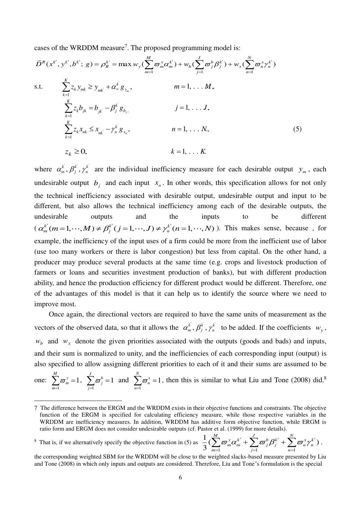cases of the WRDDM measure<sup>7</sup>. The proposed programming model is:

$$
\vec{D}^{R}(x^{k'}, y^{k'}, b^{k'}; g) = \rho_{R}^{k'} = \max w_{y} (\sum_{m=1}^{M} \varpi_{m}^{y} \alpha_{m}^{k'}) + w_{b} (\sum_{j=1}^{J} \varpi_{j}^{b} \beta_{j}^{k'}) + w_{x} (\sum_{n=1}^{N} \varpi_{n}^{x} \gamma_{n}^{k'})
$$
  
s.t. 
$$
\sum_{k=1}^{K} z_{k} y_{mk} \geq y_{mk} + \alpha_{m}^{k} g_{y_{m}}, \qquad m = 1, \dots, M,
$$

$$
\sum_{k=1}^{K} z_{k} b_{jk} = b_{jk} - \beta_{j}^{k} g_{b_{j}}, \qquad j = 1, \dots, J,
$$

$$
\sum_{k=1}^{K} z_{k} x_{nk} \leq x_{nk} - \gamma_{n}^{k} g_{x_{n}}, \qquad n = 1, \dots, N,
$$

$$
z_{k} \geq 0, \qquad k = 1, \dots, K.
$$

$$
(5)
$$

where  $\alpha_m^k$ ,  $\beta_j^k$ ,  $\gamma_n^k$  are the individual inefficiency measure for each desirable output  $y_m$ , each undesirable output  $b_j$  and each input  $x_n$ . In other words, this specification allows for not only the technical inefficiency associated with desirable output, undesirable output and input to be different, but also allows the technical inefficiency among each of the desirable outputs, the undesirable outputs and the inputs to be different  $(\alpha_m^{k'}(m=1,\dots,M) \neq \beta_i^{k'}(j=1,\dots,J) \neq \gamma_n^{k'}(n=1,\dots,N)$ ). This makes sense, because, for example, the inefficiency of the input uses of a firm could be more from the inefficient use of labor (use too many workers or there is labor congestion) but less from capital. On the other hand, a producer may produce several products at the same time (e.g. crops and livestock production of farmers or loans and securities investment production of banks), but with different production ability, and hence the production efficiency for different product would be different. Therefore, one of the advantages of this model is that it can help us to identify the source where we need to improve most.

Once again, the directional vectors are required to have the same units of measurement as the vectors of the observed data, so that it allows the  $\alpha_m^k$ ,  $\beta_j^k$ ,  $\gamma_n^k$  to be added. If the coefficients  $w_y$ ,  $w_b$  and  $w_x$  denote the given priorities associated with the outputs (goods and bads) and inputs, and their sum is normalized to unity, and the inefficiencies of each corresponding input (output) is also specified to allow assigning different priorities to each of it and their sums are assumed to be

one: 1 1  $\sum_{y=0}^{M}$ *m m*  $\varpi$  $\sum_{m=1} \varpi_m^{\, \mathrm{y}} = 1 \, , \;\; \sum_{j=1}$ 1 *J b j j*  $\varpi$  $\sum_{j=1}^{n} \varpi_j^b = 1$  and  $\sum_{n=1}^{n}$ 1 *N x n n*  $\varpi$  $\sum_{n=1}^{\infty} \overline{\omega}_n^x = 1$ , then this is similar to what Liu and Tone (2008) did.<sup>8</sup>

<sup>8</sup> That is, if we alternatively specify the objective function in (5) as

-

3

 $j=1$   $n=1$ 

 $m=1$   $j=1$   $n$ 

 $_{m}\omega _{m}+\sum \omega _{j}\rho _{j}+\sum \omega _{n}\gamma _{n}$ 

 $\{\varpi_m^{\mathrm{y}}\alpha_m^{\mathrm{k}'}+\sum \varpi_i^{\mathrm{b}}\beta_i^{\mathrm{k}'}+\sum \varpi_n^{\mathrm{x}}\gamma_n^{\mathrm{k}'}\}$  $\sum_{m=1}^{M} \varpi_m^y \alpha_m^{k'} + \sum_{j=1}^{J} \varpi_j^b \beta_j^{k'} + \sum_{n=1}^{N} \varpi_n^x \gamma_n^{k'}),$ 

<sup>7</sup> The difference between the ERGM and the WRDDM exists in their objective functions and constraints. The objective function of the ERGM is specified for calculating efficiency measure, while those respective variables in the WRDDM are inefficiency measures. In addition, WRDDM has additive form objective function, while ERGM is ratio form and ERGM does not consider undesirable outputs (cf. Pastor et al. (1999) for more details).  $\frac{1}{2}(\sum_{i=1}^{M}\varpi_{m}^{\mathrm{y}}\alpha_{m}^{k^{\prime}}+\sum_{i=1}^{J}\varpi_{i}^{\mathrm{b}}\beta_{i}^{k^{\prime}}+\sum_{i=1}^{N}\varpi_{n}^{\mathrm{x}}\gamma_{n}^{k^{\prime}})$  $\sum_{k=1}^{M} \frac{1}{\sigma^k} \sigma^{k'}$   $\sum_{k=1}^{N} \sigma^k \sigma^{k'}$ 

the corresponding weighted SBM for the WRDDM will be close to the weighted slacks-based measure presented by Liu and Tone (2008) in which only inputs and outputs are considered. Therefore, Liu and Tone's formulation is the special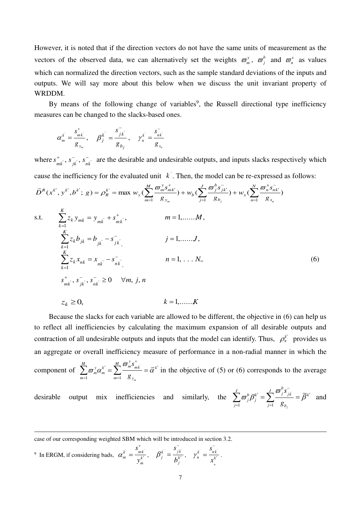However, it is noted that if the direction vectors do not have the same units of measurement as the vectors of the observed data, we can alternatively set the weights  $\sigma_m^y$ ,  $\sigma_j^b$  and  $\sigma_n^x$  as values which can normalized the direction vectors, such as the sample standard deviations of the inputs and outputs. We will say more about this below when we discuss the unit invariant property of WRDDM.

By means of the following change of variables<sup>9</sup>, the Russell directional type inefficiency measures can be changed to the slacks-based ones.

$$
\alpha_m^k = \frac{s_{mk}^+}{g_{y_m}}, \quad \beta_j^k = \frac{s_{jk}^-}{g_{b_j}}, \quad \gamma_n^k = \frac{s_{nk}^-}{g_{x_n}}
$$

where  $s_{mk}^+$ ,  $s_{jk}^-$ ,  $s_{nk}^-$  are the desirable and undesirable outputs, and inputs slacks respectively which cause the inefficiency for the evaluated unit  $k'$ . Then, the model can be re-expressed as follows:

$$
\vec{D}^{R}(x^{k'}, y^{k'}, b^{k'}; g) = \rho_{R}^{k'} = \max w_{y} (\sum_{m=1}^{M} \frac{\sigma_{m}^{y} s_{mk'}^{+}}{g_{y_{m}}} + w_{b} (\sum_{j=1}^{J} \frac{\sigma_{j}^{b} s_{jk'}^{-}}{g_{b_{j}}} + w_{x} (\sum_{n=1}^{N} \frac{\sigma_{n}^{x} s_{nk'}^{-}}{g_{x_{n}}})
$$
  
s.t. 
$$
\sum_{k=1}^{K} z_{k} y_{mk} = y_{mk} + s_{mk}^{+}, \qquad m = 1, ..., M,
$$

$$
\sum_{k=1}^{K} z_{k} b_{jk} = b_{jk} - s_{jk}^{-}, \qquad j = 1, ..., J,
$$

$$
\sum_{k=1}^{K} z_{k} x_{nk} = x_{nk} - s_{nk}^{-}, \qquad n = 1, ..., N,
$$

$$
s_{mk}^{+}, s_{jk}^{-}, s_{nk}^{-} \ge 0 \quad \forall m, j, n
$$

$$
z_{k} \ge 0, \qquad k = 1, ..., K
$$

$$
(6)
$$

Because the slacks for each variable are allowed to be different, the objective in (6) can help us to reflect all inefficiencies by calculating the maximum expansion of all desirable outputs and contraction of all undesirable outputs and inputs that the model can identify. Thus,  $\rho_k^k$  provides us an aggregate or overall inefficiency measure of performance in a non-radial manner in which the component of  $\sum_{m}^{\infty} \varpi_m^y \alpha_m^{k'} = \sum_{m}^{\infty} \frac{\omega_m s_{mk'}}{m!}$  $1 \qquad m=1$ *m*  $\sum_{k=1}^{M} \frac{1}{\sigma_k} \sum_{k=1}^{M} \sum_{k=1}^{M} \sigma_k^{k} \frac{1}{m_k} \sum_{k=1}^{M} \frac{1}{\sigma_k^{k}}$  $m^{\mathcal{U}}$ *m m*=1  $\qquad$  *m*=1  $\qquad$  *y s g*  $\omega_{m}^{y}\alpha_{m}^{k'}=\sum_{m}^{M}\frac{\omega_{m}^{y}s_{m k}}{m}=\overline{\alpha}$  $^{+}$  $\sum_{m} \infty m^m m k \quad = k'$  $\sum_{m=1}^{\infty} \overline{\omega}_m^v \alpha_m^{k'} = \sum_{m=1}^{\infty} \frac{\omega_m^v}{g_v} = \overline{\alpha}^{k'}$  in the objective of (5) or (6) corresponds to the average

desirable output mix inefficiencies and similarly, the  $\sum_{n=1}^{\infty}$ 

$$
\sum_{j=1}^{J} \varpi_j^{b} \beta_j^{k'} = \sum_{j=1}^{J} \frac{\varpi_j^{b} s_{jk}^{-}}{g_{b_j}} = \overline{\beta}^{k'}
$$
 and

<sup>9</sup> In ERGM, if considering bads,  $\alpha_m^k = \frac{B_{mk}}{k'}$  $m \sim k$ *m s*  $\alpha_m^{\scriptscriptstyle \cdot\cdot} = \frac{1}{y}$  $^{+}$  $=\frac{S_{mk}}{k}, \quad \beta_j^k = \frac{S_{jk}}{k^k}$  $j - k$ *j s b*  $\beta$ - $=\frac{B_{jk}}{I_{k}k'}$ ,  $\gamma_{n}^{k}=\frac{B_{nk}}{k'}$ *n*  $n \begin{bmatrix} k \end{bmatrix}$ *s*  $\gamma_n^{\scriptscriptstyle\cdots} = \frac{1}{x}$ - $=\frac{nk}{k'}$ .

-

case of our corresponding weighted SBM which will be introduced in section 3.2.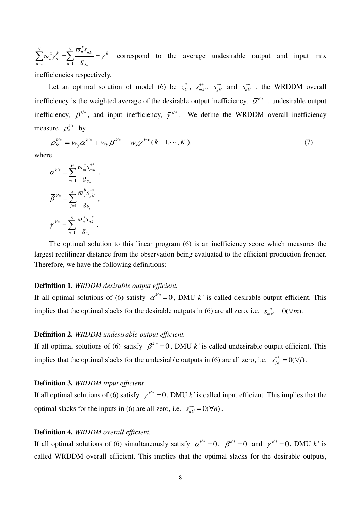$\sum_{n} \omega_{n} \mathcal{F}_{n}$  $n=1$ *n*  $\sum_{n=1}^{N} \overline{w}_{n}^{x} s_{nk}^{x}$ *n n n*=1  $8_x$ *s g*  $\omega_n^x \gamma_n^k = \sum_{n=1}^N \frac{\omega_n^k s_{nk}}{k!} = \overline{\gamma}$ ľ  $\sum_{n=1}^{\infty} \overline{\omega}_n^x \gamma_n^k = \sum_{n=1}^{\infty} \frac{\omega_n^k}{g_{x_n}} = \overline{\gamma}^{k'}$  correspond to the average undesirable output and input mix

inefficiencies respectively.

Let an optimal solution of model (6) be  $z_k^*$  $, s_{mk}^{+*}$  $\, \cdot \, , \quad s_{jk}^{-*}$ *s* and  $s_{nk}^{-*}$  , the WRDDM overall inefficiency is the weighted average of the desirable output inefficiency,  $\bar{\alpha}^{k^*}$ , undesirable output inefficiency,  $\overline{\beta}^{k^*}$ , and input inefficiency,  $\overline{\gamma}^{k^*}$ . We define the WRDDM overall inefficiency measure  $\rho_k^{k^*}$  by

$$
\rho_{R}^{k^{*}} = w_{y} \bar{\alpha}^{k^{*}} + w_{b} \bar{\beta}^{k^{*}} + w_{x} \bar{\gamma}^{k^{*}} (k = 1, \cdots, K), \qquad (7)
$$

where

$$
\overline{\alpha}^{k^{i*}} = \sum_{m=1}^{M} \frac{\overline{\omega}_{m}^{y} s_{mk'}^{+}}{g_{y_m}},
$$

$$
\overline{\beta}^{k^{i*}} = \sum_{j=1}^{J} \frac{\overline{\omega}_{j}^{b} s_{jk'}^{-}}{g_{b_j}},
$$

$$
\overline{\gamma}^{k^{i*}} = \sum_{n=1}^{N} \frac{\overline{\omega}_{n}^{x} s_{nk'}^{-}}{g_{x_n}}.
$$

The optimal solution to this linear program (6) is an inefficiency score which measures the largest rectilinear distance from the observation being evaluated to the efficient production frontier. Therefore, we have the following definitions:

# **Definition 1.** *WRDDM desirable output efficient.*

If all optimal solutions of (6) satisfy  $\overline{\alpha}^{k^*}=0$ , DMU *k*<sup>*'*</sup> is called desirable output efficient. This implies that the optimal slacks for the desirable outputs in (6) are all zero, i.e.  $s_{mk}^{+*} = O(\forall m)$ .

## **Definition 2.** *WRDDM undesirable output efficient.*

If all optimal solutions of (6) satisfy  $\overline{\beta}^{k^*}=0$ , DMU *k*<sup>*'*</sup> is called undesirable output efficient. This implies that the optimal slacks for the undesirable outputs in (6) are all zero, i.e.  $s_{jk}^{-*} = 0(\forall j)$ .

## **Definition 3.** *WRDDM input efficient.*

If all optimal solutions of (6) satisfy  $\bar{\gamma}^{k^*}=0$ , DMU *k*<sup>*'*</sup> is called input efficient. This implies that the optimal slacks for the inputs in (6) are all zero, i.e.  $s_{nk'}^{-*} = 0(\forall n)$ .

# **Definition 4.** *WRDDM overall efficient.*

If all optimal solutions of (6) simultaneously satisfy  $\overline{\alpha}^{k^*}=0$ ,  $\overline{\beta}^{k^*}=0$  and  $\overline{\gamma}^{k^*}=0$ , DMU k' is called WRDDM overall efficient. This implies that the optimal slacks for the desirable outputs,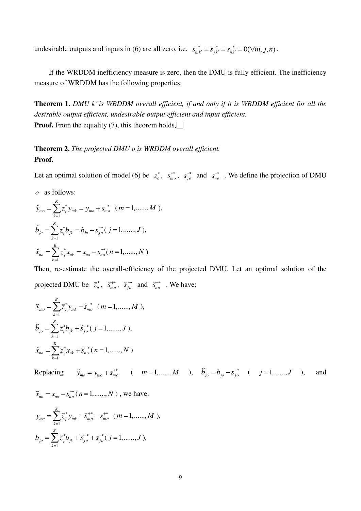undesirable outputs and inputs in (6) are all zero, i.e.  $s_{mk'}^{+*} = s_{jk'}^{-*} = s_{nk'}^{-*} = 0(\forall m, j, n)$ .

If the WRDDM inefficiency measure is zero, then the DMU is fully efficient. The inefficiency measure of WRDDM has the following properties:

**Theorem 1.** *DMU k' is WRDDM overall efficient, if and only if it is WRDDM efficient for all the desirable output efficient, undesirable output efficient and input efficient.* **Proof.** From the equality (7), this theorem holds.

**Theorem 2.** *The projected DMU o is WRDDM overall efficient.* **Proof.**

Let an optimal solution of model (6) be  $z_o^*$ ,  $s_{mo}^{+*}$ ,  $s_{jo}^{-*}$  and  $s_{no}^{-*}$ . We define the projection of DMU

*o* as follows:

$$
\tilde{y}_{mo} = \sum_{k=1}^{K} z_k^* y_{mk} = y_{mo} + s_{mo}^{+*} \quad (m = 1, \dots, M),
$$
\n
$$
\tilde{b}_{jo} = \sum_{k=1}^{K} z_k^* b_{jk} = b_{jo} - s_{jo}^{-*} \quad (j = 1, \dots, J),
$$
\n
$$
\tilde{x}_{no} = \sum_{k=1}^{K} z_k^* x_{nk} = x_{no} - s_{no}^{-*} \quad (n = 1, \dots, N)
$$

Then, re-estimate the overall-efficiency of the projected DMU. Let an optimal solution of the projected DMU be  $\hat{z}_o^*$ ,  $\hat{s}_{mo}^{**}$ ,  $\hat{s}_{jo}^{-*}$  and  $\hat{s}_{no}^{-*}$ . We have:

$$
\tilde{y}_{mo} = \sum_{k=1}^{K} \tilde{z}_{k}^{*} y_{mk} - \tilde{s}_{mo}^{**} \quad (m = 1, \dots, M),
$$
  
\n
$$
\tilde{b}_{jo} = \sum_{k=1}^{K} \tilde{z}_{k}^{*} b_{jk} + \tilde{s}_{jo}^{-*} (j = 1, \dots, J),
$$
  
\n
$$
\tilde{x}_{no} = \sum_{k=1}^{K} \tilde{z}_{k}^{*} x_{nk} + \tilde{s}_{no}^{-*} (n = 1, \dots, N)
$$

Replacing  $\tilde{y}_{mo} = y_{mo} + s_{mo}^{+*}$  (  $m = 1, \dots, M$  ),  $\tilde{b}_{jo} = b_{jo} - s_{jo}^{-*}$  (  $j = 1, \dots, J$  ), and

$$
\tilde{x}_{no} = x_{no} - s_{no}^{-*} (n = 1, \dots, N) , \text{ we have:}
$$
\n
$$
y_{mo} = \sum_{k=1}^{K} \tilde{z}_{k}^{*} y_{mk} - \tilde{s}_{mo}^{+*} - s_{mo}^{+*} (m = 1, \dots, M),
$$
\n
$$
b_{jo} = \sum_{k=1}^{K} \tilde{z}_{k}^{*} b_{jk} + \tilde{s}_{jo}^{-*} + s_{jo}^{-*} (j = 1, \dots, J),
$$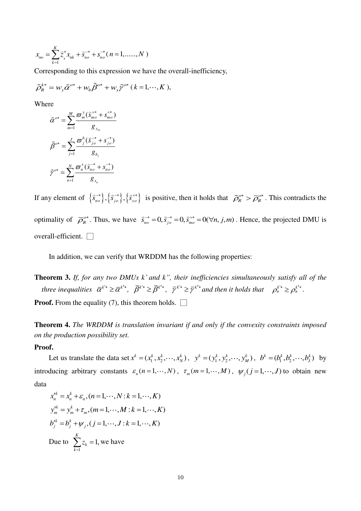$$
x_{no} = \sum_{k=1}^{K} \hat{z}_{k}^{*} x_{nk} + \hat{s}_{no}^{-*} + s_{no}^{-*} (n = 1, \dots, N)
$$

Corresponding to this expression we have the overall-inefficiency,

$$
\tilde{\rho}_R^{k^*} = w_y \tilde{\alpha}^{o^*} + w_b \tilde{\beta}^{o^*} + w_x \tilde{\gamma}^{o^*} (k = 1, \cdots, K),
$$

Where

$$
\tilde{\alpha}^{o*} = \sum_{m=1}^{M} \frac{\varpi_m^y(\tilde{s}_{mo}^{+*} + s_{mo}^{+*})}{g_{y_m}}
$$

$$
\tilde{\beta}^{o*} = \sum_{j=1}^{J} \frac{\varpi_j^b(\tilde{s}_{jo}^{-*} + s_{jo}^{-*})}{g_{b_j}}
$$

$$
\tilde{\gamma}^{o*} = \sum_{n=1}^{N} \frac{\varpi_n^x(\tilde{s}_{no}^{-*} + s_{no}^{-*})}{g_{x_n}}
$$

If any element of  $\{\hat{s}_{no}^{*}\},\{\hat{s}_{jo}^{*}\},\{\hat{s}_{yo}^{*}\}$  is positive, then it holds that  $\tilde{\rho}_{R}^{o*} > \overline{\rho}_{R}^{o*}$ . This contradicts the optimality of  $\overline{\rho}_R^{\circ*}$ . Thus, we have  $\overline{s}_{no}^{*} = 0$ ,  $\overline{s}_{no}^{*} = 0$ ,  $\overline{s}_{mo}^{*} = 0$ ( $\forall n, j, m$ ). Hence, the projected DMU is overall-efficient.  $\square$ 

In addition, we can verify that WRDDM has the following properties:

**Theorem 3.** *If, for any two DMUs k' and k", their inefficiencies simultaneously satisfy all of the three inequalities*  $\overline{\alpha}^{k^*} \ge \overline{\alpha}^{k^*}, \quad \overline{\beta}^{k^*} \ge \overline{\beta}^{k^*}, \quad \overline{\gamma}^{k^*} \ge \overline{\gamma}^{k^*}$  and then it holds that  $\rho_k^{k^*} \ge \rho_k^{k^*}.$ 

**Proof.** From the equality (7), this theorem holds.  $\Box$ 

**Theorem 4.** *The WRDDM is translation invariant if and only if the convexity constraints imposed on the production possibility set.*

#### **Proof.**

Let us translate the data set  $x^k = (x_1^k, x_2^k, \dots, x_N^k)$ ,  $y^k = (y_1^k, y_2^k, \dots, y_M^k)$ ,  $b^k = (b_1^k, b_2^k, \dots, b_j^k)$  by introducing arbitrary constants  $\varepsilon_n$  ( $n = 1, \dots, N$ ),  $\tau_m$  ( $m = 1, \dots, M$ ),  $\psi_j$  ( $j = 1, \dots, J$ ) to obtain new data

$$
x_n'^k = x_n^k + \varepsilon_n, (n = 1, \dots, N : k = 1, \dots, K)
$$
  
\n
$$
y_m'^k = y_m^k + \tau_m, (m = 1, \dots, M : k = 1, \dots, K)
$$
  
\n
$$
b_j'^k = b_j^k + \psi_j, (j = 1, \dots, J : k = 1, \dots, K)
$$
  
\nDue to 
$$
\sum_{k=1}^K z_k = 1
$$
, we have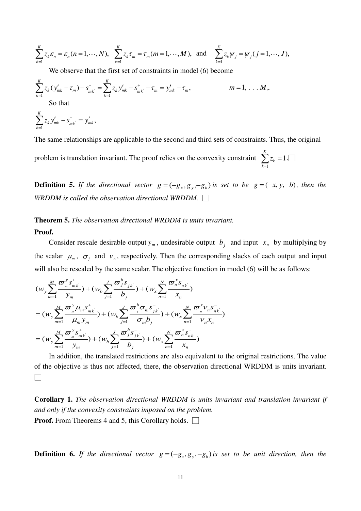$$
\sum_{k=1}^K z_k \varepsilon_n = \varepsilon_n (n=1,\cdots,N), \quad \sum_{k=1}^K z_k \tau_m = \tau_m (m=1,\cdots,M), \quad \text{and} \quad \sum_{k=1}^K z_k \psi_j = \psi_j (j=1,\cdots,J),
$$

We observe that the first set of constraints in model (6) become

$$
\sum_{k=1}^{K} z_k (y'_{mk} - \tau_m) - s^+_{mk} = \sum_{k=1}^{K} z_k y'_{mk} - s^+_{mk} - \tau_m = y'_{mk} - \tau_m, \qquad m = 1, \dots, M,
$$
  
So that  

$$
\sum_{k=1}^{K} z_k y'_{mk} - s^+_{mk} = y'_{mk},
$$

The same relationships are applicable to the second and third sets of constraints. Thus, the original problem is translation invariant. The proof relies on the convexity constraint  $\sum z_k = 1$ *K k z*  $\sum_{k=1}^{\infty} z_k = 1$ .

**Definition 5.** If the directional vector  $g = (-g_x, g_y, -g_b)$  is set to be  $g = (-x, y, -b)$ , then the *WRDDM is called the observation directional WRDDM.* □

1

*k*

## **Theorem 5.** *The observation directional WRDDM is units invariant.*

#### **Proof.**

Consider rescale desirable output  $y_m$ , undesirable output  $b_j$  and input  $x_n$  by multiplying by the scalar  $\mu_m$ ,  $\sigma_j$  and  $\nu_n$ , respectively. Then the corresponding slacks of each output and input will also be rescaled by the same scalar. The objective function in model (6) will be as follows:

$$
(w_y \sum_{m=1}^{M} \frac{\sigma_{m}^{y} s_{mk}^{+}}{y_m}) + (w_b \sum_{j=1}^{J} \frac{\sigma_{j}^{b} s_{jk}^{-}}{b_j}) + (w_x \sum_{n=1}^{N} \frac{\sigma_{n}^{x} s_{nk}^{-}}{x_n})
$$
  
=  $(w_y \sum_{m=1}^{M} \frac{\sigma_{m}^{y} \mu_{m} s_{mk}^{+}}{\mu_{m} y_m}) + (w_b \sum_{j=1}^{J} \frac{\sigma_{j}^{b} \sigma_{m} s_{jk}^{-}}{\sigma_{m} b_j}) + (w_x \sum_{n=1}^{N} \frac{\sigma_{n}^{x} v_{n} s_{nk}^{-}}{v_{n} x_n})$   
=  $(w_y \sum_{m=1}^{M} \frac{\sigma_{m}^{y} s_{mk}^{+}}{y_m}) + (w_b \sum_{j=1}^{J} \frac{\sigma_{j}^{b} s_{jk}^{-}}{b_j}) + (w_x \sum_{n=1}^{N} \frac{\sigma_{n}^{x} s_{nk}^{-}}{x_n})$ 

In addition, the translated restrictions are also equivalent to the original restrictions. The value of the objective is thus not affected, there, the observation directional WRDDM is units invariant. □

**Corollary 1.** *The observation directional WRDDM is units invariant and translation invariant if and only if the convexity constraints imposed on the problem.* **Proof.** From Theorems 4 and 5, this Corollary holds. □

**Definition 6.** If the directional vector  $g = (-g_x, g_y, -g_b)$  is set to be unit direction, then the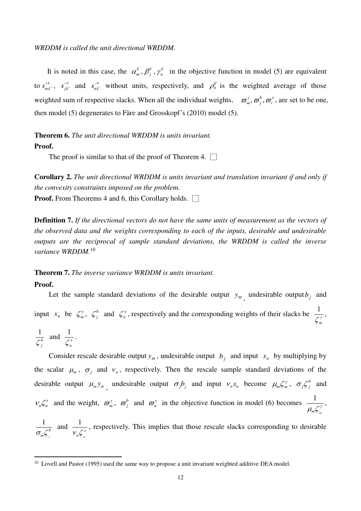*WRDDM is called the unit directional WRDDM.* 

It is noted in this case, the  $\alpha_m^k$ ,  $\beta_j^k$ ,  $\gamma_n^k$  in the objective function in model (5) are equivalent to  $s_{mk}^{+*}$ ,  $s_{jk}^{-*}$ *s* and  $s_{nk}^{-*}$ without units, respectively, and  $\rho_k^{k'}$  is the weighted average of those weighted sum of respective slacks. When all the individual weights,  $\sigma_m^y$ ,  $\sigma_j^b$ ,  $\sigma_i^x$ , are set to be one, then model (5) degenerates to Färe and Grosskopf's (2010) model (5).

**Theorem 6.** *The unit directional WRDDM is units invariant.*  **Proof.** 

The proof is similar to that of the proof of Theorem 4.  $\Box$ 

**Corollary 2.** *The unit directional WRDDM is units invariant and translation invariant if and only if the convexity constraints imposed on the problem.*

**Proof.** From Theorems 4 and 6, this Corollary holds.  $\Box$ 

**Definition 7.** *If the directional vectors do not have the same units of measurement as the vectors of the observed data and the weights corresponding to each of the inputs, desirable and undesirable outputs are the reciprocal of sample standard deviations, the WRDDM is called the inverse variance WRDDM.*<sup>10</sup>

## **Theorem 7.** *The inverse variance WRDDM is units invariant.*

## **Proof.**

<u>.</u>

Let the sample standard deviations of the desirable output  $y_m$ , undesirable output  $b_j$  and input  $x_n$  be  $\zeta_n^y$ ,  $\zeta_j^b$  and  $\zeta_n^x$ , respectively and the corresponding weights of their slacks be  $\frac{1}{\zeta_n^y}$ ,

$$
\frac{1}{\zeta_j^b} \text{ and } \frac{1}{\zeta_n^x}.
$$

Consider rescale desirable output  $y_m$ , undesirable output  $b_j$  and input  $x_n$  by multiplying by the scalar  $\mu_m$ ,  $\sigma_j$  and  $\nu_n$ , respectively. Then the rescale sample standard deviations of the desirable output  $\mu_m y_m$ , undesirable output  $\sigma_j b_j$  and input  $v_n x_n$  become  $\mu_m \zeta_m^y$ ,  $\sigma_j \zeta_j^b$  and  $v_n \zeta_n^x$  and the weight,  $\overline{\omega}_m^y$ ,  $\overline{\omega}_j^b$  and  $\overline{\omega}_n^x$  in the objective function in model (6) becomes  $\frac{1}{\sqrt{n}}$ *m*  $\frac{1}{\mu_{m} \zeta_{m}^{y}}$ ,

1 *j*  $\sigma_{_m}\zeta^{_b}_{_i}$ and  $\frac{1}{V_n \zeta_n^x}$ *n* , respectively. This implies that those rescale slacks corresponding to desirable

<sup>&</sup>lt;sup>10</sup> Lovell and Pastor (1995) used the same way to propose a unit invariant weighted additive DEA model.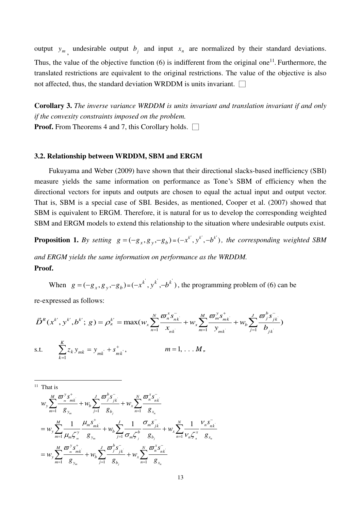output  $y_m$ , undesirable output  $b_j$  and input  $x_n$  are normalized by their standard deviations. Thus, the value of the objective function  $(6)$  is indifferent from the original one<sup>11</sup>. Furthermore, the translated restrictions are equivalent to the original restrictions. The value of the objective is also not affected, thus, the standard deviation WRDDM is units invariant.  $\Box$ 

**Corollary 3.** *The inverse variance WRDDM is units invariant and translation invariant if and only if the convexity constraints imposed on the problem.*

**Proof.** From Theorems 4 and 7, this Corollary holds.  $\Box$ 

## **3.2. Relationship between WRDDM, SBM and ERGM**

Fukuyama and Weber (2009) have shown that their directional slacks-based inefficiency (SBI) measure yields the same information on performance as Tone's SBM of efficiency when the directional vectors for inputs and outputs are chosen to equal the actual input and output vector. That is, SBM is a special case of SBI. Besides, as mentioned, Cooper et al. (2007) showed that SBM is equivalent to ERGM. Therefore, it is natural for us to develop the corresponding weighted SBM and ERGM models to extend this relationship to the situation where undesirable outputs exist.

**Proposition 1.** By setting  $g = (-g_x, g_y, -g_b) = (-x^{k'}, y^{k'}, -b^{k'})$ , the corresponding weighted SBM

*and ERGM yields the same information on performance as the WRDDM.* **Proof.** 

When  $g = (-g_x, g_y, -g_b) = (-x^k, y^k, -b^k)$ , the programming problem of (6) can be

re-expressed as follows:

$$
\vec{D}^{R}(x^{k'}, y^{k'}, b^{k'}; g) = \rho_{k}^{k'} = \max(w_{x} \sum_{n=1}^{N} \frac{\sigma_{n}^{x} s_{nk}^{-}}{x_{nk}} + w_{x} \sum_{m=1}^{M} \frac{\sigma_{m}^{y} s_{mk}^{+}}{y_{mk}} + w_{b} \sum_{j=1}^{J} \frac{\sigma_{j}^{b} s_{jk}^{-}}{b_{jk}})
$$
  
s.t. 
$$
\sum_{k=1}^{K} z_{k} y_{mk} = y_{mk} + s_{mk}^{+}, \qquad m = 1, \dots M,
$$

<sup>11</sup> That is

<u>.</u>

$$
w_{y} \sum_{m=1}^{M} \frac{\sigma_{m}^{y} s_{mk}^{+}}{g_{y_{m}}} + w_{b} \sum_{j=1}^{J} \frac{\sigma_{j}^{b} s_{jk}^{-}}{g_{b_{j}}} + w_{x} \sum_{n=1}^{N} \frac{\sigma_{n}^{x} s_{nk}^{-}}{g_{x_{n}}}
$$
  
\n
$$
= w_{y} \sum_{m=1}^{M} \frac{1}{\mu_{m} \zeta_{m}^{y}} \frac{\mu_{m} s_{mk}^{+}}{g_{y_{m}}} + w_{b} \sum_{j=1}^{J} \frac{1}{\sigma_{m} \zeta_{j}^{b}} \frac{\sigma_{m} s_{jk}^{-}}{g_{b_{j}}} + w_{x} \sum_{n=1}^{N} \frac{1}{\nu_{n} \zeta_{n}^{x}} \frac{\nu_{n} s_{nk}^{-}}{g_{x_{n}}}
$$
  
\n
$$
= w_{y} \sum_{m=1}^{M} \frac{\sigma_{m}^{y} s_{mk}^{+}}{g_{y_{m}}} + w_{b} \sum_{j=1}^{J} \frac{\sigma_{j}^{b} s_{jk}^{-}}{g_{b_{j}}} + w_{x} \sum_{n=1}^{N} \frac{\sigma_{n}^{x} s_{nk}^{-}}{g_{x_{n}}}
$$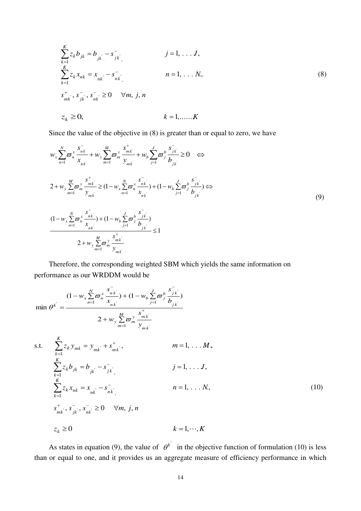$$
\sum_{k=1}^{K} z_{k} b_{jk} = b_{jk} - s_{jk}^{-}
$$
  
\n
$$
\sum_{k=1}^{K} z_{k} x_{nk} = x_{nk} - s_{nk}^{-}
$$
  
\n
$$
n = 1, ..., N,
$$
  
\n
$$
s_{mk}^{+}, s_{jk}^{-}, s_{nk}^{-} \ge 0 \quad \forall m, j, n
$$
  
\n
$$
z_{k} \ge 0,
$$
  
\n
$$
k = 1, ..., K
$$
  
\n(8)

Since the value of the objective in (8) is greater than or equal to zero, we have

$$
w_{x} \sum_{n=1}^{N} \overline{\omega}_{n}^{x} \frac{\overline{s}_{nk}^{y}}{\overline{x}_{nk}} + w_{y} \sum_{m=1}^{M} \overline{\omega}_{m}^{y} \frac{\overline{s}_{mk}^{y}}{\overline{y}_{mk}} + w_{b} \sum_{j=1}^{J} \overline{\omega}_{j}^{b} \frac{\overline{s}_{jk}^{y}}{\overline{b}_{jk}} \ge 0 \iff
$$
  
\n
$$
2 + w_{y} \sum_{m=1}^{M} \overline{\omega}_{m}^{y} \frac{\overline{s}_{mk}^{y}}{\overline{y}_{mk}} \ge (1 - w_{x} \sum_{n=1}^{N} \overline{\omega}_{n}^{x} \frac{\overline{s}_{nk}^{y}}{\overline{x}_{nk}}) + (1 - w_{b} \sum_{j=1}^{J} \overline{\omega}_{j}^{b} \frac{\overline{s}_{jk}^{y}}{\overline{b}_{jk}}) \iff
$$
  
\n
$$
\frac{(1 - w_{x} \sum_{n=1}^{N} \overline{\omega}_{n}^{x} \frac{\overline{s}_{nk}^{y}}{\overline{x}_{nk}}) + (1 - w_{b} \sum_{j=1}^{J} \overline{\omega}_{j}^{b} \frac{\overline{s}_{jk}^{y}}{\overline{b}_{jk}})}{\overline{b}_{jk}} \le 1
$$
  
\n
$$
2 + w_{y} \sum_{m=1}^{M} \overline{\omega}_{m}^{y} \frac{\overline{s}_{mk}^{+}}{\overline{y}_{mk}} \ge 1
$$

Therefore, the corresponding weighted SBM which yields the same information on performance as our WRDDM would be

$$
\lim_{n \to \infty} \theta^k = \frac{(1 - w_x \sum_{n=1}^{N} \sigma_n^x \frac{s_{nk}^{-1}}{x_{nk}}) + (1 - w_b \sum_{j=1}^{J} \sigma_j^b \frac{s_{jk}^{-1}}{b_{jk}})}{2 + w_y \sum_{m=1}^{M} \sigma_m^y \frac{s_{mk}^{-1}}{y_{mk}}}
$$
\ns.t. 
$$
\sum_{k=1}^{K} z_k y_{mk} = y_{mk} + s_{mk}^{+}, \qquad m = 1, \dots, M,
$$
\n
$$
\sum_{k=1}^{K} z_k b_{jk} = b_{jk} - s_{jk}^{-1}, \qquad j = 1, \dots, J,
$$
\n
$$
\sum_{k=1}^{K} z_k x_{nk} = x_{nk} - s_{nk}^{-1}, \qquad n = 1, \dots, N,
$$
\n
$$
s_{mk}^{+} \cdot s_{jk}^{-} \cdot s_{nk}^{-} \ge 0 \qquad \forall m, j, n
$$
\n
$$
z_k \ge 0 \qquad k = 1, \dots, K
$$
\n(10)

As states in equation (9), the value of  $\theta^{k'}$  in the objective function of formulation (10) is less than or equal to one, and it provides us an aggregate measure of efficiency performance in which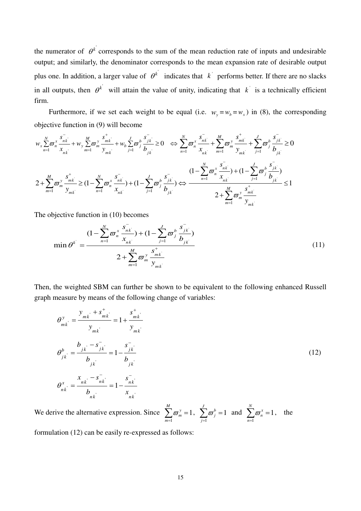the numerator of  $\theta^k$  corresponds to the sum of the mean reduction rate of inputs and undesirable output; and similarly, the denominator corresponds to the mean expansion rate of desirable output plus one. In addition, a larger value of  $\theta^k$  indicates that k performs better. If there are no slacks in all outputs, then  $\theta^k$  will attain the value of unity, indicating that  $k'$  is a technically efficient firm.

Furthermore, if we set each weight to be equal (i.e.  $w_y = w_b = w_x$ ) in (8), the corresponding objective function in (9) will become

$$
w_{x} \sum_{n=1}^{N} \overline{\omega}_{n}^{x} \frac{s_{nk}^{-}}{x_{nk}} + w_{y} \sum_{m=1}^{M} \overline{\omega}_{m}^{y} \frac{s_{mk}^{+}}{y_{mk}} + w_{b} \sum_{j=1}^{J} \overline{\omega}_{j}^{b} \frac{s_{jk}^{-}}{b_{jk}} \ge 0 \iff \sum_{n=1}^{N} \overline{\omega}_{n}^{x} \frac{s_{nk}^{-}}{x_{nk}} + \sum_{m=1}^{M} \overline{\omega}_{m}^{y} \frac{s_{mk}^{+}}{y_{mk}} + \sum_{j=1}^{J} \overline{\omega}_{j}^{b} \frac{s_{jk}^{-}}{b_{jk}} \ge 0
$$
  

$$
2 + \sum_{m=1}^{M} \overline{\omega}_{m}^{y} \frac{s_{mk}^{+}}{y_{mk}} \ge (1 - \sum_{n=1}^{N} \overline{\omega}_{n}^{x} \frac{s_{nk}^{-}}{x_{nk}}) + (1 - \sum_{j=1}^{J} \overline{\omega}_{j}^{b} \frac{s_{jk}^{-}}{b_{jk}}) \iff \frac{(1 - \sum_{n=1}^{N} \overline{\omega}_{n}^{x} \frac{s_{nk}^{-}}{x_{nk}}) + (1 - \sum_{j=1}^{J} \overline{\omega}_{j}^{b} \frac{s_{jk}^{-}}{b_{jk}})}{2 + \sum_{m=1}^{M} \overline{\omega}_{m}^{y} \frac{s_{mk}^{+}}{y_{mk}} \le 1
$$

The objective function in (10) becomes

$$
\min \theta^{k} = \frac{(1 - \sum_{n=1}^{N} \varpi_{n}^{x} \frac{s_{nk}^{-}}{x_{nk}}) + (1 - \sum_{j=1}^{J} \varpi_{j}^{b} \frac{s_{jk}^{-}}{b_{jk}})}{2 + \sum_{m=1}^{M} \varpi_{m}^{y} \frac{s_{mk}^{+}}{y_{mk}}}
$$
(11)

Then, the weighted SBM can further be shown to be equivalent to the following enhanced Russell graph measure by means of the following change of variables:

$$
\theta_{mk}^{y} = \frac{y_{mk} + s_{mk}^{+}}{y_{mk}} = 1 + \frac{s_{mk}^{+}}{y_{mk}}
$$
\n
$$
\theta_{jk}^{b} = \frac{b_{jk} - s_{jk}^{-}}{b_{jk}} = 1 - \frac{s_{jk}^{-}}{b_{jk}}
$$
\n
$$
\theta_{nk}^{x} = \frac{x_{nk} - s_{nk}^{-}}{b_{nk}} = 1 - \frac{s_{nk}^{-}}{x_{nk}}
$$
\n(12)

We derive the alternative expression. Since 1 1  $\sum_{y=0}^{M}$ *m m*  $\varpi$  $\sum_{m=1} \varpi_m^y = 1, \;\; \sum_{j=1}$ 1 *J b j j*  $\varpi$  $\sum_{j=1}^{n} \overline{\omega}_{j}^{b} = 1$  and  $\sum_{n=1}^{n}$ 1 *N x n n*  $\varpi$  $\sum_{n=1}^{\infty} \overline{\omega}_n^x = 1$ , the

formulation (12) can be easily re-expressed as follows: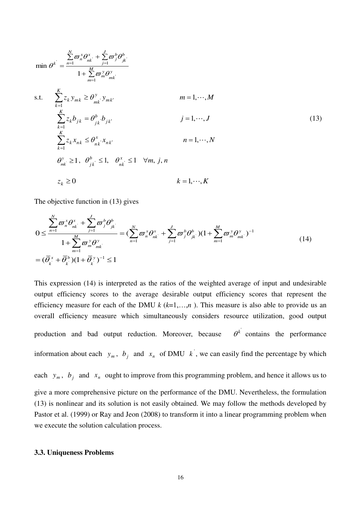$$
\min \theta^{k} = \frac{\sum_{n=1}^{N} \varpi_{n}^{x} \theta_{nk}^{x} + \sum_{j=1}^{J} \varpi_{j}^{b} \theta_{jk}^{b}}{1 + \sum_{m=1}^{M} \varpi_{m}^{y} \theta_{mk}^{y}}
$$
\ns.t. 
$$
\sum_{k=1}^{K} z_{k} y_{mk} \geq \theta_{mk}^{y} y_{mk}
$$
\n
$$
\sum_{k=1}^{K} z_{k} b_{jk} = \theta_{jk}^{b} b_{jk}
$$
\n
$$
\sum_{k=1}^{K} z_{k} \theta_{jk} = \theta_{nk}^{b} \theta_{ik}
$$
\n
$$
\sum_{k=1}^{K} z_{k} x_{nk} \leq \theta_{nk}^{x} x_{nk}
$$
\n
$$
n = 1, \dots, N
$$
\n
$$
\theta_{mk}^{y} \geq 1, \quad \theta_{jk}^{b} \leq 1, \quad \theta_{nk}^{x} \leq 1 \quad \forall m, j, n
$$
\n
$$
z_{k} \geq 0
$$
\n
$$
k = 1, \dots, K
$$
\n
$$
(13)
$$

The objective function in (13) gives

$$
0 \leq \frac{\sum_{n=1}^{N} \varpi_{n}^{x} \theta_{nk}^{x}}{1 + \sum_{m=1}^{M} \varpi_{m}^{y} \theta_{mk}^{y}} = (\sum_{n=1}^{N} \varpi_{n}^{x} \theta_{nk}^{x} + \sum_{j=1}^{J} \varpi_{j}^{b} \theta_{jk}^{b})(1 + \sum_{m=1}^{M} \varpi_{m}^{y} \theta_{mk}^{y})^{-1}
$$
  
=  $(\overline{\theta}_{k}^{x} + \overline{\theta}_{k}^{b})(1 + \overline{\theta}_{k}^{y})^{-1} \leq 1$  (14)

This expression (14) is interpreted as the ratios of the weighted average of input and undesirable output efficiency scores to the average desirable output efficiency scores that represent the efficiency measure for each of the DMU  $k$  ( $k=1,...,n$ ). This measure is also able to provide us an overall efficiency measure which simultaneously considers resource utilization, good output production and bad output reduction. Moreover, because  $\theta^k$  contains the performance information about each  $y_m$ ,  $b_j$  and  $x_n$  of DMU  $k$ , we can easily find the percentage by which each  $y_m$ ,  $b_j$  and  $x_n$  ought to improve from this programming problem, and hence it allows us to give a more comprehensive picture on the performance of the DMU. Nevertheless, the formulation (13) is nonlinear and its solution is not easily obtained. We may follow the methods developed by Pastor et al. (1999) or Ray and Jeon (2008) to transform it into a linear programming problem when we execute the solution calculation process.

#### **3.3. Uniqueness Problems**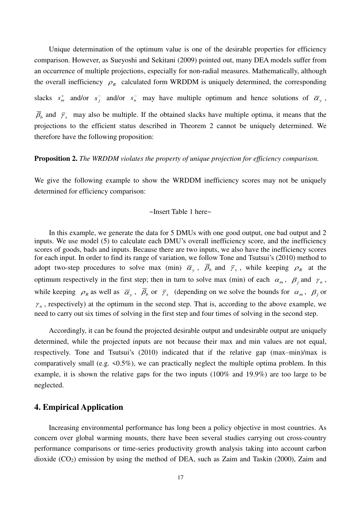Unique determination of the optimum value is one of the desirable properties for efficiency comparison. However, as Sueyoshi and Sekitani (2009) pointed out, many DEA models suffer from an occurrence of multiple projections, especially for non-radial measures. Mathematically, although the overall inefficiency  $\rho_R$  calculated form WRDDM is uniquely determined, the corresponding slacks  $s_m^+$  and/or  $s_j^-$  and/or  $s_n^-$  may have multiple optimum and hence solutions of  $\overline{\alpha}_y$ ,

 $\bar{\beta}_b$  and  $\bar{\gamma}_x$  may also be multiple. If the obtained slacks have multiple optima, it means that the projections to the efficient status described in Theorem 2 cannot be uniquely determined. We therefore have the following proposition:

## **Proposition 2.** *The WRDDM violates the property of unique projection for efficiency comparison.*

We give the following example to show the WRDDM inefficiency scores may not be uniquely determined for efficiency comparison:

#### ~Insert Table 1 here~

In this example, we generate the data for 5 DMUs with one good output, one bad output and 2 inputs. We use model (5) to calculate each DMU's overall inefficiency score, and the inefficiency scores of goods, bads and inputs. Because there are two inputs, we also have the inefficiency scores for each input. In order to find its range of variation, we follow Tone and Tsutsui's (2010) method to adopt two-step procedures to solve max (min)  $\overline{\alpha}_y$ ,  $\overline{\beta}_b$  and  $\overline{\gamma}_x$ , while keeping  $\rho_R$  at the optimum respectively in the first step; then in turn to solve max (min) of each  $\alpha_m$ ,  $\beta_j$  and  $\gamma_n$ , while keeping  $\rho_R$  as well as  $\overline{\alpha}_y$ ,  $\overline{\beta}_b$  or  $\overline{\gamma}_x$  (depending on we solve the bounds for  $\alpha_m$ ,  $\beta_j$  or  $\gamma_n$ , respectively) at the optimum in the second step. That is, according to the above example, we need to carry out six times of solving in the first step and four times of solving in the second step.

Accordingly, it can be found the projected desirable output and undesirable output are uniquely determined, while the projected inputs are not because their max and min values are not equal, respectively. Tone and Tsutsui's (2010) indicated that if the relative gap (max–min)/max is comparatively small (e.g.  $\le 0.5\%$ ), we can practically neglect the multiple optima problem. In this example, it is shown the relative gaps for the two inputs (100% and 19.9%) are too large to be neglected.

# **4. Empirical Application**

Increasing environmental performance has long been a policy objective in most countries. As concern over global warming mounts, there have been several studies carrying out cross-country performance comparisons or time-series productivity growth analysis taking into account carbon dioxide (CO2) emission by using the method of DEA, such as Zaim and Taskin (2000), Zaim and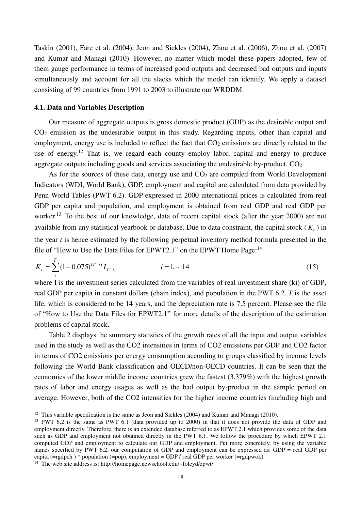Taskin (2001), Färe et al. (2004), Jeon and Sickles (2004), Zhou et al. (2006), Zhou et al. (2007) and Kumar and Managi (2010). However, no matter which model these papers adopted, few of them gauge performance in terms of increased good outputs and decreased bad outputs and inputs simultaneously and account for all the slacks which the model can identify. We apply a dataset consisting of 99 countries from 1991 to 2003 to illustrate our WRDDM.

## **4.1. Data and Variables Description**

Our measure of aggregate outputs is gross domestic product (GDP) as the desirable output and CO2 emission as the undesirable output in this study. Regarding inputs, other than capital and employment, energy use is included to reflect the fact that  $CO<sub>2</sub>$  emissions are directly related to the use of energy.<sup>12</sup> That is, we regard each county employ labor, capital and energy to produce aggregate outputs including goods and services associating the undesirable by-product, CO<sub>2</sub>.

As for the sources of these data, energy use and  $CO<sub>2</sub>$  are compiled from World Development Indicators (WDI, World Bank), GDP, employment and capital are calculated from data provided by Penn World Tables (PWT 6.2). GDP expressed in 2000 international prices is calculated from real GDP per capita and population, and employment is obtained from real GDP and real GDP per worker.<sup>13</sup> To the best of our knowledge, data of recent capital stock (after the year 2000) are not available from any statistical yearbook or database. Due to data constraint, the capital stock  $(K_t)$  in the year *t* is hence estimated by the following perpetual inventory method formula presented in the file of "[How to Use the Data Files for EPWT2.1](http://homepage.newschool.edu/~foleyd/epwt/DataDoc2.1.html)" on the EPWT Home Page:<sup>14</sup>

$$
K_{t} = \sum_{i}^{T} (1 - 0.075)^{(T - i)} I_{T - i}, \qquad i = 1, \cdots 14
$$
 (15)

where I is the investment series calculated from the variables of real investment share (ki) of GDP, real GDP per capita in constant dollars (chain index), and population in the PWT 6.2. *T* is the asset life, which is considered to be 14 years, and the depreciation rate is 7.5 percent. Please see the file of "[How to Use the Data Files for EPWT2.1](http://homepage.newschool.edu/~foleyd/epwt/DataDoc2.1.html)" for more details of the description of the estimation problems of capital stock.

Table 2 displays the summary statistics of the growth rates of all the input and output variables used in the study as well as the CO2 intensities in terms of CO2 emissions per GDP and CO2 factor in terms of CO2 emissions per energy consumption according to groups classified by income levels following the World Bank classification and OECD/non-OECD countries. It can be seen that the economies of the lower middle income countries grew the fastest (3.379%) with the highest growth rates of labor and energy usages as well as the bad output by-product in the sample period on average. However, both of the CO2 intensities for the higher income countries (including high and

-

<sup>&</sup>lt;sup>12</sup> This variable specification is the same as Jeon and Sickles (2004) and Kumar and Managi (2010).

<sup>&</sup>lt;sup>13</sup> PWT 6.2 is the same as PWT 6.1 (data provided up to 2000) in that it does not provide the data of GDP and employment directly. Therefore, there is an extended database referred to as EPWT 2.1 which provides some of the data such as GDP and employment not obtained directly in the PWT 6.1. We follow the procedure by which EPWT 2.1 computed GDP and employment to calculate our GDP and employment. Put more concretely, by using the variable names specified by PWT 6.2, our computation of GDP and employment can be expressed as: GDP = real GDP per capita (=rgdpch) \* population (=pop), employment = GDP / real GDP per worker (=rgdpwok).

<sup>&</sup>lt;sup>14</sup> The web site address is: http://homepage.newschool.edu/~foleyd/epwt/.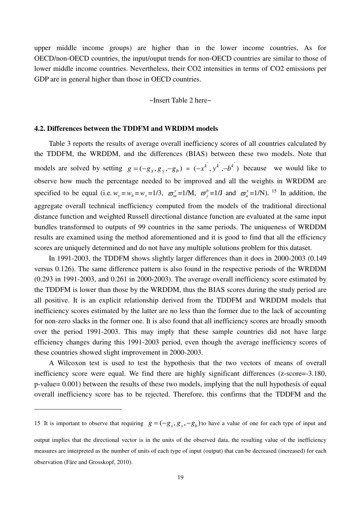upper middle income groups) are higher than in the lower income countries. As for OECD/non-OECD countries, the input/ouput trends for non-OECD countries are similar to those of lower middle income countries. Nevertheless, their CO2 intensities in terms of CO2 emissions per GDP are in general higher than those in OECD countries.

#### ~Insert Table 2 here~

#### **4.2. Differences between the TDDFM and WRDDM models**

<u>.</u>

Table 3 reports the results of average overall inefficiency scores of all countries calculated by the TDDFM, the WRDDM, and the differences (BIAS) between these two models. Note that models are solved by setting  $g = (-g_x, g_y, -g_b) = (-x^k, y^k, -b^k)$  because we would like to observe how much the percentage needed to be improved and all the weights in WRDDM are specified to be equal (i.e.  $w_y = w_b = w_x = 1/3$ ,  $\omega_m^y = 1/M$ ,  $\omega_j^b = 1/J$  and  $\omega_n^x = 1/N$ ). <sup>15</sup> In addition, the aggregate overall technical inefficiency computed from the models of the traditional directional distance function and weighted Russell directional distance function are evaluated at the same input bundles transformed to outputs of 99 countries in the same periods. The uniqueness of WRDDM results are examined using the method aforementioned and it is good to find that all the efficiency scores are uniquely determined and do not have any multiple solutions problem for this dataset.

In 1991-2003, the TDDFM shows slightly larger differences than it does in 2000-2003 (0.149 versus 0.126). The same difference pattern is also found in the respective periods of the WRDDM (0.293 in 1991-2003, and 0.261 in 2000-2003). The average overall inefficiency score estimated by the TDDFM is lower than those by the WRDDM, thus the BIAS scores during the study period are all positive. It is an explicit relationship derived from the TDDFM and WRDDM models that inefficiency scores estimated by the latter are no less than the former due to the lack of accounting for non-zero slacks in the former one. It is also found that all inefficiency scores are broadly smooth over the period 1991-2003. This may imply that these sample countries did not have large efficiency changes during this 1991-2003 period, even though the average inefficiency scores of these countries showed slight improvement in 2000-2003.

A Wilcoxon test is used to test the hypothesis that the two vectors of means of overall inefficiency score were equal. We find there are highly significant differences (z-score=-3.180, p-value= 0.001) between the results of these two models, implying that the null hypothesis of equal overall inefficiency score has to be rejected. Therefore, this confirms that the TDDFM and the

<sup>15</sup> It is important to observe that requiring  $g = (-g_x, g_y, -g_b)$  to have a value of one for each type of input and

output implies that the directional vector is in the units of the observed data. the resulting value of the inefficiency measures are interpreted as the number of units of each type of input (output) that can be decreased (increased) for each observation (Färe and Grosskopf, 2010).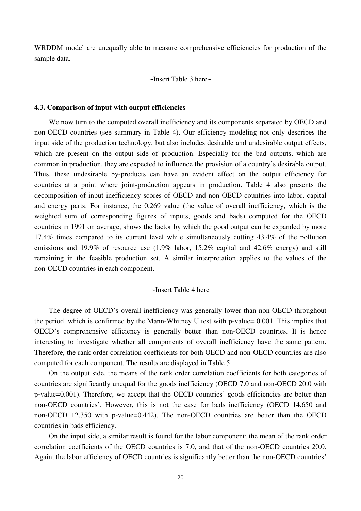WRDDM model are unequally able to measure comprehensive efficiencies for production of the sample data.

~Insert Table 3 here~

#### **4.3. Comparison of input with output efficiencies**

We now turn to the computed overall inefficiency and its components separated by OECD and non-OECD countries (see summary in Table 4). Our efficiency modeling not only describes the input side of the production technology, but also includes desirable and undesirable output effects, which are present on the output side of production. Especially for the bad outputs, which are common in production, they are expected to influence the provision of a country's desirable output. Thus, these undesirable by-products can have an evident effect on the output efficiency for countries at a point where joint-production appears in production. Table 4 also presents the decomposition of input inefficiency scores of OECD and non-OECD countries into labor, capital and energy parts. For instance, the 0.269 value (the value of overall inefficiency, which is the weighted sum of corresponding figures of inputs, goods and bads) computed for the OECD countries in 1991 on average, shows the factor by which the good output can be expanded by more 17.4% times compared to its current level while simultaneously cutting 43.4% of the pollution emissions and 19.9% of resource use (1.9% labor, 15.2% capital and 42.6% energy) and still remaining in the feasible production set. A similar interpretation applies to the values of the non-OECD countries in each component.

## ~Insert Table 4 here

The degree of OECD's overall inefficiency was generally lower than non-OECD throughout the period, which is confirmed by the Mann-Whitney U test with p-value= 0.001. This implies that OECD's comprehensive efficiency is generally better than non-OECD countries. It is hence interesting to investigate whether all components of overall inefficiency have the same pattern. Therefore, the rank order correlation coefficients for both OECD and non-OECD countries are also computed for each component. The results are displayed in Table 5.

On the output side, the means of the rank order correlation coefficients for both categories of countries are significantly unequal for the goods inefficiency (OECD 7.0 and non-OECD 20.0 with p-value=0.001). Therefore, we accept that the OECD countries' goods efficiencies are better than non-OECD countries'. However, this is not the case for bads inefficiency (OECD 14.650 and non-OECD 12.350 with p-value=0.442). The non-OECD countries are better than the OECD countries in bads efficiency.

On the input side, a similar result is found for the labor component; the mean of the rank order correlation coefficients of the OECD countries is 7.0, and that of the non-OECD countries 20.0. Again, the labor efficiency of OECD countries is significantly better than the non-OECD countries'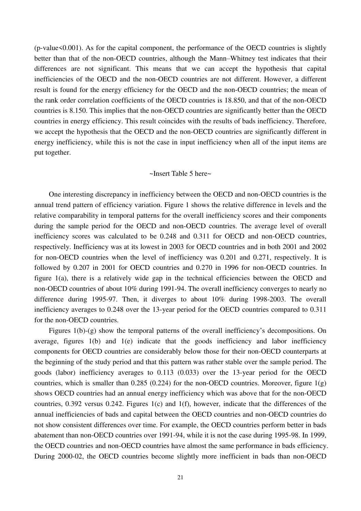$(p-value<0.001)$ . As for the capital component, the performance of the OECD countries is slightly better than that of the non-OECD countries, although the Mann–Whitney test indicates that their differences are not significant. This means that we can accept the hypothesis that capital inefficiencies of the OECD and the non-OECD countries are not different. However, a different result is found for the energy efficiency for the OECD and the non-OECD countries; the mean of the rank order correlation coefficients of the OECD countries is 18.850, and that of the non-OECD countries is 8.150. This implies that the non-OECD countries are significantly better than the OECD countries in energy efficiency. This result coincides with the results of bads inefficiency. Therefore, we accept the hypothesis that the OECD and the non-OECD countries are significantly different in energy inefficiency, while this is not the case in input inefficiency when all of the input items are put together.

## ~Insert Table 5 here~

One interesting discrepancy in inefficiency between the OECD and non-OECD countries is the annual trend pattern of efficiency variation. Figure 1 shows the relative difference in levels and the relative comparability in temporal patterns for the overall inefficiency scores and their components during the sample period for the OECD and non-OECD countries. The average level of overall inefficiency scores was calculated to be 0.248 and 0.311 for OECD and non-OECD countries, respectively. Inefficiency was at its lowest in 2003 for OECD countries and in both 2001 and 2002 for non-OECD countries when the level of inefficiency was 0.201 and 0.271, respectively. It is followed by 0.207 in 2001 for OECD countries and 0.270 in 1996 for non-OECD countries. In figure 1(a), there is a relatively wide gap in the technical efficiencies between the OECD and non-OECD countries of about 10% during 1991-94. The overall inefficiency converges to nearly no difference during 1995-97. Then, it diverges to about 10% during 1998-2003. The overall inefficiency averages to 0.248 over the 13-year period for the OECD countries compared to 0.311 for the non-OECD countries.

Figures 1(b)-(g) show the temporal patterns of the overall inefficiency's decompositions. On average, figures 1(b) and 1(e) indicate that the goods inefficiency and labor inefficiency components for OECD countries are considerably below those for their non-OECD counterparts at the beginning of the study period and that this pattern was rather stable over the sample period. The goods (labor) inefficiency averages to 0.113 (0.033) over the 13-year period for the OECD countries, which is smaller than 0.285 (0.224) for the non-OECD countries. Moreover, figure  $1(g)$ shows OECD countries had an annual energy inefficiency which was above that for the non-OECD countries, 0.392 versus 0.242. Figures 1(c) and 1(f), however, indicate that the differences of the annual inefficiencies of bads and capital between the OECD countries and non-OECD countries do not show consistent differences over time. For example, the OECD countries perform better in bads abatement than non-OECD countries over 1991-94, while it is not the case during 1995-98. In 1999, the OECD countries and non-OECD countries have almost the same performance in bads efficiency. During 2000-02, the OECD countries become slightly more inefficient in bads than non-OECD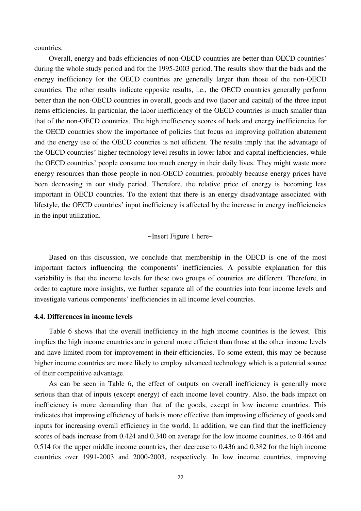countries.

Overall, energy and bads efficiencies of non-OECD countries are better than OECD countries' during the whole study period and for the 1995-2003 period. The results show that the bads and the energy inefficiency for the OECD countries are generally larger than those of the non-OECD countries. The other results indicate opposite results, i.e., the OECD countries generally perform better than the non-OECD countries in overall, goods and two (labor and capital) of the three input items efficiencies. In particular, the labor inefficiency of the OECD countries is much smaller than that of the non-OECD countries. The high inefficiency scores of bads and energy inefficiencies for the OECD countries show the importance of policies that focus on improving pollution abatement and the energy use of the OECD countries is not efficient. The results imply that the advantage of the OECD countries' higher technology level results in lower labor and capital inefficiencies, while the OECD countries' people consume too much energy in their daily lives. They might waste more energy resources than those people in non-OECD countries, probably because energy prices have been decreasing in our study period. Therefore, the relative price of energy is becoming less important in OECD countries. To the extent that there is an energy disadvantage associated with lifestyle, the OECD countries' input inefficiency is affected by the increase in energy inefficiencies in the input utilization.

## ~Insert Figure 1 here~

Based on this discussion, we conclude that membership in the OECD is one of the most important factors influencing the components' inefficiencies. A possible explanation for this variability is that the income levels for these two groups of countries are different. Therefore, in order to capture more insights, we further separate all of the countries into four income levels and investigate various components' inefficiencies in all income level countries.

## **4.4. Differences in income levels**

Table 6 shows that the overall inefficiency in the [high income](http://web.worldbank.org/servlets/ECR?contentMDK=20421402&sitePK=239419#High_income) countries is the lowest. This implies the [high income](http://web.worldbank.org/servlets/ECR?contentMDK=20421402&sitePK=239419#High_income) countries are in general more efficient than those at the other income levels and have limited room for improvement in their efficiencies. To some extent, this may be because higher income countries are more likely to employ advanced technology which is a potential source of their competitive advantage.

As can be seen in Table 6, the effect of outputs on overall inefficiency is generally more serious than that of inputs (except energy) of each income level country. Also, the bads impact on inefficiency is more demanding than that of the goods, except in low income countries. This indicates that improving efficiency of bads is more effective than improving efficiency of goods and inputs for increasing overall efficiency in the world. In addition, we can find that the inefficiency scores of bads increase from 0.424 and 0.340 on average for the low income countries, to 0.464 and 0.514 for the upper middle income countries, then decrease to 0.436 and 0.382 for the high income countries over 1991-2003 and 2000-2003, respectively. In low income countries, improving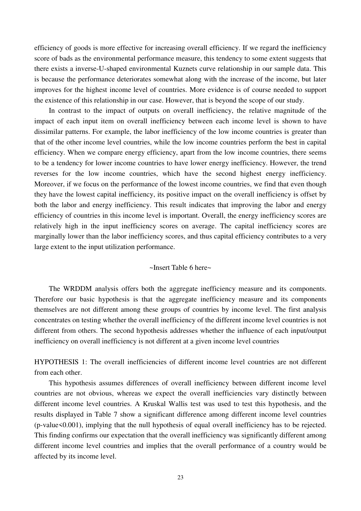efficiency of goods is more effective for increasing overall efficiency. If we regard the inefficiency score of bads as the environmental performance measure, this tendency to some extent suggests that there exists a inverse-U-shaped environmental Kuznets curve relationship in our sample data. This is because the performance deteriorates somewhat along with the increase of the income, but later improves for the highest income level of countries. More evidence is of course needed to support the existence of this relationship in our case. However, that is beyond the scope of our study.

In contrast to the impact of outputs on overall inefficiency, the relative magnitude of the impact of each input item on overall inefficiency between each income level is shown to have dissimilar patterns. For example, the labor inefficiency of the low income countries is greater than that of the other income level countries, while the low income countries perform the best in capital efficiency. When we compare energy efficiency, apart from the low income countries, there seems to be a tendency for lower income countries to have lower energy inefficiency. However, the trend reverses for the low income countries, which have the second highest energy inefficiency. Moreover, if we focus on the performance of the lowest income countries, we find that even though they have the lowest capital inefficiency, its positive impact on the overall inefficiency is offset by both the labor and energy inefficiency. This result indicates that improving the labor and energy efficiency of countries in this income level is important. Overall, the energy inefficiency scores are relatively high in the input inefficiency scores on average. The capital inefficiency scores are marginally lower than the labor inefficiency scores, and thus capital efficiency contributes to a very large extent to the input utilization performance.

## ~Insert Table 6 here~

The WRDDM analysis offers both the aggregate inefficiency measure and its components. Therefore our basic hypothesis is that the aggregate inefficiency measure and its components themselves are not different among these groups of countries by income level. The first analysis concentrates on testing whether the overall inefficiency of the different income level countries is not different from others. The second hypothesis addresses whether the influence of each input/output inefficiency on overall inefficiency is not different at a given income level countries

HYPOTHESIS 1: The overall inefficiencies of different income level countries are not different from each other.

This hypothesis assumes differences of overall inefficiency between different income level countries are not obvious, whereas we expect the overall inefficiencies vary distinctly between different income level countries. A Kruskal Wallis test was used to test this hypothesis, and the results displayed in Table 7 show a significant difference among different income level countries (p-value<0.001), implying that the null hypothesis of equal overall inefficiency has to be rejected. This finding confirms our expectation that the overall inefficiency was significantly different among different income level countries and implies that the overall performance of a country would be affected by its income level.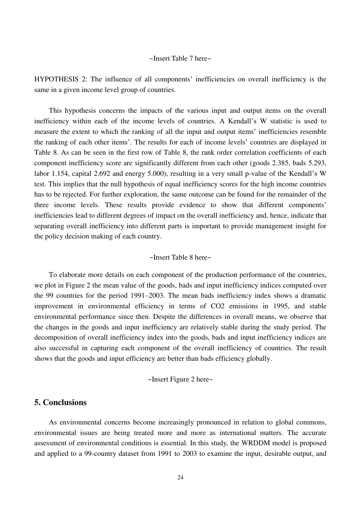## ~Insert Table 7 here~

HYPOTHESIS 2: The influence of all components' inefficiencies on overall inefficiency is the same in a given income level group of countries.

This hypothesis concerns the impacts of the various input and output items on the overall inefficiency within each of the income levels of countries. A Kendall's W statistic is used to measure the extent to which the ranking of all the input and output items' inefficiencies resemble the ranking of each other items'. The results for each of income levels' countries are displayed in Table 8. As can be seen in the first row of Table 8, the rank order correlation coefficients of each component inefficiency score are significantly different from each other (goods 2.385, bads 5.293, labor 1.154, capital 2.692 and energy 5.000), resulting in a very small p-value of the Kendall's W test. This implies that the null hypothesis of equal inefficiency scores for the high income countries has to be rejected. For further exploration, the same outcome can be found for the remainder of the three income levels. These results provide evidence to show that different components' inefficiencies lead to different degrees of impact on the overall inefficiency and, hence, indicate that separating overall inefficiency into different parts is important to provide management insight for the policy decision making of each country.

## ~Insert Table 8 here~

To elaborate more details on each component of the production performance of the countries, we plot in Figure 2 the mean value of the goods, bads and input inefficiency indices computed over the 99 countries for the period 1991–2003. The mean bads inefficiency index shows a dramatic improvement in environmental efficiency in terms of CO2 emissions in 1995, and stable environmental performance since then. Despite the differences in overall means, we observe that the changes in the goods and input inefficiency are relatively stable during the study period. The decomposition of overall inefficiency index into the goods, bads and input inefficiency indices are also successful in capturing each component of the overall inefficiency of countries. The result shows that the goods and input efficiency are better than bads efficiency globally.

#### ~Insert Figure 2 here~

# **5. Conclusions**

As environmental concerns become increasingly pronounced in relation to global commons, environmental issues are being treated more and more as international matters. The accurate assessment of environmental conditions is essential. In this study, the WRDDM model is proposed and applied to a 99-country dataset from 1991 to 2003 to examine the input, desirable output, and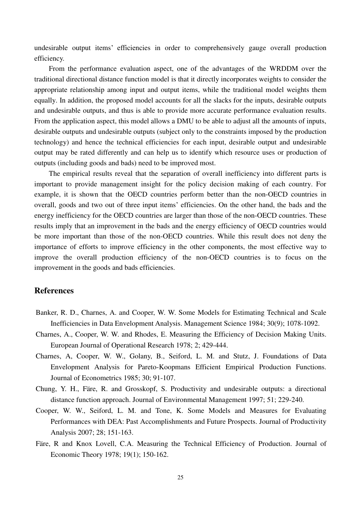undesirable output items' efficiencies in order to comprehensively gauge overall production efficiency.

From the performance evaluation aspect, one of the advantages of the WRDDM over the traditional directional distance function model is that it directly incorporates weights to consider the appropriate relationship among input and output items, while the traditional model weights them equally. In addition, the proposed model accounts for all the slacks for the inputs, desirable outputs and undesirable outputs, and thus is able to provide more accurate performance evaluation results. From the application aspect, this model allows a DMU to be able to adjust all the amounts of inputs, desirable outputs and undesirable outputs (subject only to the constraints imposed by the production technology) and hence the technical efficiencies for each input, desirable output and undesirable output may be rated differently and can help us to identify which resource uses or production of outputs (including goods and bads) need to be improved most.

The empirical results reveal that the separation of overall inefficiency into different parts is important to provide management insight for the policy decision making of each country. For example, it is shown that the OECD countries perform better than the non-OECD countries in overall, goods and two out of three input items' efficiencies. On the other hand, the bads and the energy inefficiency for the OECD countries are larger than those of the non-OECD countries. These results imply that an improvement in the bads and the energy efficiency of OECD countries would be more important than those of the non-OECD countries. While this result does not deny the importance of efforts to improve efficiency in the other components, the most effective way to improve the overall production efficiency of the non-OECD countries is to focus on the improvement in the goods and bads efficiencies.

# **References**

- Banker, R. D., Charnes, A. and Cooper, W. W. Some Models for Estimating Technical and Scale Inefficiencies in Data Envelopment Analysis. Management Science 1984; 30(9); 1078-1092.
- Charnes, A., Cooper, W. W. and Rhodes, E. Measuring the Efficiency of Decision Making Units. European Journal of Operational Research 1978; 2; 429-444.
- Charnes, A, Cooper, W. W., Golany, B., Seiford, L. M. and Stutz, J. Foundations of Data Envelopment Analysis for Pareto-Koopmans Efficient Empirical Production Functions. Journal of Econometrics 1985; 30; 91-107.
- Chung, Y. H., Färe, R. and Grosskopf, S. Productivity and undesirable outputs: a directional distance function approach. Journal of Environmental Management 1997; 51; 229-240.
- Cooper, W. W., Seiford, L. M. and Tone, K. Some Models and Measures for Evaluating Performances with DEA: Past Accomplishments and Future Prospects. Journal of Productivity Analysis 2007; 28; 151-163.
- Färe, R and Knox Lovell, C.A. Measuring the Technical Efficiency of Production. Journal of Economic Theory 1978; 19(1); 150-162.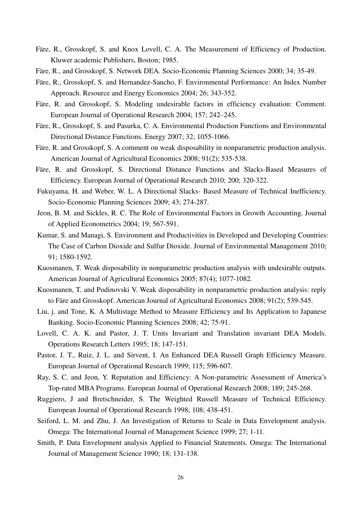- Färe, R., Grosskopf, S. and Knox Lovell, C. A. The Measurement of Efficiency of Production. Kluwer academic Publishers, Boston; 1985.
- Färe, R., and Grosskopf, S. Network DEA. Socio-Economic Planning Sciences 2000; 34; 35-49.
- Färe, R., Grosskopf, S. and Hernandez-Sancho, F. Environmental Performance: An Index Number Approach. Resource and Energy Economics 2004; 26; 343-352.
- Färe, R. and Grosskopf, S. Modeling undesirable factors in efficiency evaluation: Comment. European Journal of Operational Research 2004; 157; 242–245.
- Färe, R., Grosskopf, S. and Pasurka, C. A. Environmental Production Functions and Environmental Directional Distance Functions. Energy 2007; 32; 1055-1066.
- Färe, R. and Grosskopf, S. A comment on weak disposability in nonparametric production analysis. American Journal of Agricultural Economics 2008; 91(2); 535-538.
- Färe, R. and Grosskopf, S. Directional Distance Functions and Slacks-Based Measures of Efficiency. European Journal of Operational Research 2010; 200; 320-322.
- Fukuyama, H. and Weber, W. L. A Directional Slacks- Based Measure of Technical Inefficiency. Socio-Economic Planning Sciences 2009; 43; 274-287.
- Jeon, B. M. and Sickles, R. C. The Role of Environmental Factors in Growth Accounting. Journal of Applied Econometrics 2004; 19; 567-591.
- Kumar, S. and Managi, S. Environment and Productivities in Developed and Developing Countries: The Case of Carbon Dioxide and Sulfur Dioxide. Journal of Environmental Management 2010; 91; 1580-1592.
- Kuosmanen, T. Weak disposability in nonparametric production analysis with undesirable outputs. American Journal of Agricultural Economics 2005; 87(4); 1077-1082.
- Kuosmanen, T. and Podinovski V. Weak disposability in nonparametric production analysis: reply to Färe and Grosskopf. American Journal of Agricultural Economics 2008; 91(2); 539-545.
- Liu, j. and Tone, K. A Multistage Method to Measure Efficiency and Its Application to Japanese Banking. Socio-Economic Planning Sciences 2008; 42; 75-91.
- Lovell, C. A. K. and Pastor, J. T. Units Invariant and Translation invariant DEA Models. Operations Research Letters 1995; 18; 147-151.
- Pastor, J. T., Ruiz, J. L. and Sirvent, I. An Enhanced DEA Russell Graph Efficiency Measure. European Journal of Operational Research 1999; 115; 596-607.
- Ray, S. C. and Jeon, Y. Reputation and Efficiency: A Non-parametric Assessment of America's Top-rated MBA Programs. European Journal of Operational Research 2008; 189; 245-268.
- Ruggiero, J and Bretschneider, S. The Weighted Russell Measure of Technical Efficiency. European Journal of Operational Research 1998; 108; 438-451.
- Seiford, L. M. and Zhu, J. An Investigation of Returns to Scale in Data Envelopment analysis. Omega: The International Journal of Management Science 1999; 27; 1-11.
- Smith, P. Data Envelopment analysis Applied to Financial Statements. Omega: The International Journal of Management Science 1990; 18; 131-138.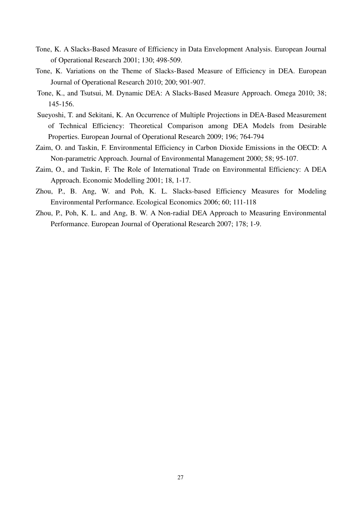- Tone, K. A Slacks-Based Measure of Efficiency in Data Envelopment Analysis. European Journal of Operational Research 2001; 130; 498-509.
- Tone, K. Variations on the Theme of Slacks-Based Measure of Efficiency in DEA. European Journal of Operational Research 2010; 200; 901-907.
- Tone, K., and Tsutsui, M. Dynamic DEA: A Slacks-Based Measure Approach. Omega 2010; 38; 145-156.
- Sueyoshi, T. and Sekitani, K. An Occurrence of Multiple Projections in DEA-Based Measurement of Technical Efficiency: Theoretical Comparison among DEA Models from Desirable Properties. European Journal of Operational Research 2009; 196; 764-794
- Zaim, O. and Taskin, F. Environmental Efficiency in Carbon Dioxide Emissions in the OECD: A Non-parametric Approach. Journal of Environmental Management 2000; 58; 95-107.
- Zaim, O., and Taskin, F. The Role of International Trade on Environmental Efficiency: A DEA Approach. Economic Modelling 2001; 18, 1-17.
- Zhou, P., B. Ang, W. and Poh, K. L. Slacks-based Efficiency Measures for Modeling Environmental Performance. Ecological Economics 2006; 60; 111-118
- Zhou, P., Poh, K. L. and Ang, B. W. A Non-radial DEA Approach to Measuring Environmental Performance. European Journal of Operational Research 2007; 178; 1-9.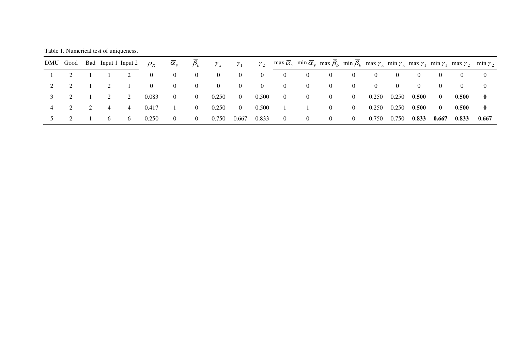Table 1. Numerical test of uniqueness.

|  |                |          | DMU Good Bad Input 1 Input 2 $\rho_R$ |                   |                                        |              |                |          | $\overline{\alpha}_y$ $\overline{\beta}_b$ $\overline{\gamma}_x$ $\gamma_1$ $\gamma_2$ $\max \overline{\alpha}_y$ $\min \overline{\alpha}_y$ $\max \overline{\beta}_b$ $\min \overline{\beta}_b$ $\max \overline{\gamma}_x$ $\min \overline{\gamma}_x$ $\max \gamma_1$ $\min \gamma_1$ $\max \gamma_2$ $\min \gamma_2$ |                  |                                        |                |                |                  |                  |                  |                 |          |
|--|----------------|----------|---------------------------------------|-------------------|----------------------------------------|--------------|----------------|----------|------------------------------------------------------------------------------------------------------------------------------------------------------------------------------------------------------------------------------------------------------------------------------------------------------------------------|------------------|----------------------------------------|----------------|----------------|------------------|------------------|------------------|-----------------|----------|
|  |                | 2        | $\overline{0}$                        | $\overline{0}$    | $\overline{0}$                         | $\sim 0$     | $\overline{0}$ | $\sim 0$ | $\overline{0}$                                                                                                                                                                                                                                                                                                         | $\overline{0}$   | $\sim 0$                               | $\overline{0}$ | $\theta$       | $\bf{0}$         | $\left( \right)$ | $\left( \right)$ | $\bf{0}$        | $\theta$ |
|  | $\overline{2}$ |          | $\overline{0}$                        | $\overline{0}$    | $\begin{array}{ccc} & & 0 \end{array}$ | $\mathbf{0}$ | $\overline{0}$ | $\sim 0$ | $\bf{0}$                                                                                                                                                                                                                                                                                                               | $\left( \right)$ | $\sqrt{1}$                             | $\sim 0$       | $\overline{0}$ | $\left( \right)$ | $\theta$         | $\Omega$         | $\Omega$        | $\Omega$ |
|  | $\overline{2}$ | 2        | 0.083                                 | $\hspace{0.6cm}0$ | $\begin{array}{ccc} & & 0 \end{array}$ | 0.250        | $\sim 0$       | 0.500    | $0\qquad 0$                                                                                                                                                                                                                                                                                                            |                  | $\overline{0}$                         | $\sim 0$       | 0.250 0.250    |                  | $0.500$ 0        |                  | 0.500           | $\bf{0}$ |
|  | $\overline{4}$ | $\sim$ 4 | 0.417                                 |                   | $\begin{array}{ccc} & & 0 \end{array}$ | 0.250        | $\sim 0$       | 0.500    | $\begin{array}{ccc} \hline \end{array}$                                                                                                                                                                                                                                                                                |                  | $\sim$ 0                               | $\mathbf{0}$   | 0.250 0.250    |                  | $0.500$ 0        |                  | 0.500           | $\bf{0}$ |
|  | $6\quad$       | $6\quad$ | 0.250                                 | $\overline{0}$    | $\sim$ 0                               | 0.750        | 0.667 0.833    |          | $\hspace{0.6cm}0$                                                                                                                                                                                                                                                                                                      | $\overline{0}$   | $\begin{array}{ccc} & & 0 \end{array}$ | $\sim 0$       | 0.750          | 0.750            | 0.833 0.667      |                  | $0.833$ $0.667$ |          |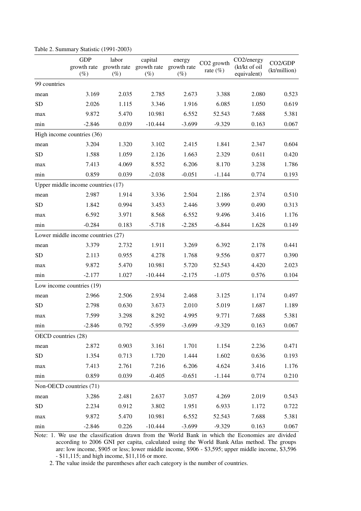|                         | <b>GDP</b><br>growth rate<br>$(\%)$  | labor<br>growth rate<br>$(\%)$ | capital<br>growth rate<br>$(\%)$ | energy<br>growth rate<br>$(\%)$ | CO <sub>2</sub> growth<br>rate $(\%)$ | CO <sub>2</sub> /energy<br>(kt/kt of oil<br>equivalent) | CO2/GDP<br>(kt/million) |
|-------------------------|--------------------------------------|--------------------------------|----------------------------------|---------------------------------|---------------------------------------|---------------------------------------------------------|-------------------------|
| 99 countries            |                                      |                                |                                  |                                 |                                       |                                                         |                         |
| mean                    | 3.169                                | 2.035                          | 2.785                            | 2.673                           | 3.388                                 | 2.080                                                   | 0.523                   |
| <b>SD</b>               | 2.026                                | 1.115                          | 3.346                            | 1.916                           | 6.085                                 | 1.050                                                   | 0.619                   |
| max                     | 9.872                                | 5.470                          | 10.981                           | 6.552                           | 52.543                                | 7.688                                                   | 5.381                   |
| min                     | $-2.846$                             | 0.039                          | $-10.444$                        | $-3.699$                        | $-9.329$                              | 0.163                                                   | 0.067                   |
|                         | High income countries (36)           |                                |                                  |                                 |                                       |                                                         |                         |
| mean                    | 3.204                                | 1.320                          | 3.102                            | 2.415                           | 1.841                                 | 2.347                                                   | 0.604                   |
| <b>SD</b>               | 1.588                                | 1.059                          | 2.126                            | 1.663                           | 2.329                                 | 0.611                                                   | 0.420                   |
| max                     | 7.413                                | 4.069                          | 8.552                            | 6.206                           | 8.170                                 | 3.238                                                   | 1.786                   |
| min                     | 0.859                                | 0.039                          | $-2.038$                         | $-0.051$                        | $-1.144$                              | 0.774                                                   | 0.193                   |
|                         | Upper middle income countries $(17)$ |                                |                                  |                                 |                                       |                                                         |                         |
| mean                    | 2.987                                | 1.914                          | 3.336                            | 2.504                           | 2.186                                 | 2.374                                                   | 0.510                   |
| <b>SD</b>               | 1.842                                | 0.994                          | 3.453                            | 2.446                           | 3.999                                 | 0.490                                                   | 0.313                   |
| max                     | 6.592                                | 3.971                          | 8.568                            | 6.552                           | 9.496                                 | 3.416                                                   | 1.176                   |
| min                     | $-0.284$                             | 0.183                          | $-5.718$                         | $-2.285$                        | $-6.844$                              | 1.628                                                   | 0.149                   |
|                         | Lower middle income countries (27)   |                                |                                  |                                 |                                       |                                                         |                         |
| mean                    | 3.379                                | 2.732                          | 1.911                            | 3.269                           | 6.392                                 | 2.178                                                   | 0.441                   |
| <b>SD</b>               | 2.113                                | 0.955                          | 4.278                            | 1.768                           | 9.556                                 | 0.877                                                   | 0.390                   |
| max                     | 9.872                                | 5.470                          | 10.981                           | 5.720                           | 52.543                                | 4.420                                                   | 2.023                   |
| min                     | $-2.177$                             | 1.027                          | $-10.444$                        | $-2.175$                        | $-1.075$                              | 0.576                                                   | 0.104                   |
|                         | Low income countries (19)            |                                |                                  |                                 |                                       |                                                         |                         |
| mean                    | 2.966                                | 2.506                          | 2.934                            | 2.468                           | 3.125                                 | 1.174                                                   | 0.497                   |
| <b>SD</b>               | 2.798                                | 0.630                          | 3.673                            | 2.010                           | 5.019                                 | 1.687                                                   | 1.189                   |
| max                     | 7.599                                | 3.298                          | 8.292                            | 4.995                           | 9.771                                 | 7.688                                                   | 5.381                   |
| min                     | $-2.846$                             | 0.792                          | $-5.959$                         | $-3.699$                        | $-9.329$                              | 0.163                                                   | 0.067                   |
| OECD countries (28)     |                                      |                                |                                  |                                 |                                       |                                                         |                         |
| mean                    | 2.872                                | 0.903                          | 3.161                            | 1.701                           | 1.154                                 | 2.236                                                   | 0.471                   |
| SD                      | 1.354                                | 0.713                          | 1.720                            | 1.444                           | 1.602                                 | 0.636                                                   | 0.193                   |
| max                     | 7.413                                | 2.761                          | 7.216                            | 6.206                           | 4.624                                 | 3.416                                                   | 1.176                   |
| min                     | 0.859                                | 0.039                          | $-0.405$                         | $-0.651$                        | $-1.144$                              | 0.774                                                   | 0.210                   |
| Non-OECD countries (71) |                                      |                                |                                  |                                 |                                       |                                                         |                         |
| mean                    | 3.286                                | 2.481                          | 2.637                            | 3.057                           | 4.269                                 | 2.019                                                   | 0.543                   |
| SD                      | 2.234                                | 0.912                          | 3.802                            | 1.951                           | 6.933                                 | 1.172                                                   | 0.722                   |
| max                     | 9.872                                | 5.470                          | 10.981                           | 6.552                           | 52.543                                | 7.688                                                   | 5.381                   |
| min                     | $-2.846$                             | 0.226                          | $-10.444$                        | $-3.699$                        | $-9.329$                              | 0.163                                                   | 0.067                   |

Table 2. Summary Statistic (1991-2003)

Note: 1. We use the classification drawn from the World Bank in which the Economies are divided according to 2006 GNI per capita, calculated using the World Bank [Atlas method.](javascript:doInLink() The groups are[: low income,](http://web.worldbank.org/servlets/ECR?contentMDK=20421402&sitePK=239419#Low_income) \$905 or less; [lower middle income,](http://web.worldbank.org/servlets/ECR?contentMDK=20421402&sitePK=239419#Lower_middle_income) \$906 - \$3,595; [upper middle income,](http://web.worldbank.org/servlets/ECR?contentMDK=20421402&sitePK=239419#Upper_middle_income) \$3,596 - \$11,115; an[d high income,](http://web.worldbank.org/servlets/ECR?contentMDK=20421402&sitePK=239419#High_income) \$11,116 or more.

2. The value inside the parentheses after each category is the number of countries.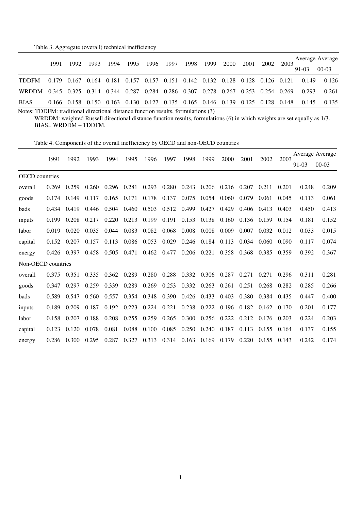### Table 3. Aggregate (overall) technical inefficiency

|              | 1991        | 1992 | 1993 | 1994 | 1995 | 1996 | 1997 | 1998 | 1999                                                                    | 2000 | 2001        |  | 2002<br>2003 |       | Average Average |
|--------------|-------------|------|------|------|------|------|------|------|-------------------------------------------------------------------------|------|-------------|--|--------------|-------|-----------------|
|              |             |      |      |      |      |      |      |      |                                                                         |      |             |  |              | 91-03 | $00-03$         |
| <b>TDDFM</b> | 0.179 0.167 |      |      |      |      |      |      |      | 0.164 0.181 0.157 0.157 0.151 0.142 0.132 0.128 0.128 0.126 0.121       |      |             |  |              | 0.149 | 0.126           |
| <b>WRDDM</b> |             |      |      |      |      |      |      |      | 0.345 0.325 0.314 0.344 0.287 0.284 0.286 0.307 0.278 0.267             |      | 0.253 0.254 |  | 0.269        | 0.293 | 0.261           |
| <b>BIAS</b>  |             |      |      |      |      |      |      |      | 0.166 0.158 0.150 0.163 0.130 0.127 0.135 0.165 0.146 0.139 0.125 0.128 |      |             |  | 0.148        | 0.145 | 0.135           |

Notes: TDDFM: traditional directional distance function results, formulations (3)

WRDDM: weighted Russell directional distance function results, formulations (6) in which weights are set equally as 1/3. BIAS= WRDDM – TDDFM.

|                       | 1991  | 1992  | 1993  | 1994  | 1995  |       | 1997  | 1998  | 1999  | 2000  | 2001  | 2002  | 2003  |       | Average Average |  |
|-----------------------|-------|-------|-------|-------|-------|-------|-------|-------|-------|-------|-------|-------|-------|-------|-----------------|--|
|                       |       |       |       |       |       | 1996  |       |       |       |       |       |       |       | 91-03 | $00 - 03$       |  |
| <b>OECD</b> countries |       |       |       |       |       |       |       |       |       |       |       |       |       |       |                 |  |
| overall               | 0.269 | 0.259 | 0.260 | 0.296 | 0.281 | 0.293 | 0.280 | 0.243 | 0.206 | 0.216 | 0.207 | 0.211 | 0.201 | 0.248 | 0.209           |  |
| goods                 | 0.174 | 0.149 | 0.117 | 0.165 | 0.171 | 0.178 | 0.137 | 0.075 | 0.054 | 0.060 | 0.079 | 0.061 | 0.045 | 0.113 | 0.061           |  |
| bads                  | 0.434 | 0.419 | 0.446 | 0.504 | 0.460 | 0.503 | 0.512 | 0.499 | 0.427 | 0.429 | 0.406 | 0.413 | 0.403 | 0.450 | 0.413           |  |
| inputs                | 0.199 | 0.208 | 0.217 | 0.220 | 0.213 | 0.199 | 0.191 | 0.153 | 0.138 | 0.160 | 0.136 | 0.159 | 0.154 | 0.181 | 0.152           |  |
| labor                 | 0.019 | 0.020 | 0.035 | 0.044 | 0.083 | 0.082 | 0.068 | 0.008 | 0.008 | 0.009 | 0.007 | 0.032 | 0.012 | 0.033 | 0.015           |  |
| capital               | 0.152 | 0.207 | 0.157 | 0.113 | 0.086 | 0.053 | 0.029 | 0.246 | 0.184 | 0.113 | 0.034 | 0.060 | 0.090 | 0.117 | 0.074           |  |
| energy                | 0.426 | 0.397 | 0.458 | 0.505 | 0.471 | 0.462 | 0.477 | 0.206 | 0.221 | 0.358 | 0.368 | 0.385 | 0.359 | 0.392 | 0.367           |  |
| Non-OECD countries    |       |       |       |       |       |       |       |       |       |       |       |       |       |       |                 |  |
| overall               | 0.375 | 0.351 | 0.335 | 0.362 | 0.289 | 0.280 | 0.288 | 0.332 | 0.306 | 0.287 | 0.271 | 0.271 | 0.296 | 0.311 | 0.281           |  |
| goods                 | 0.347 | 0.297 | 0.259 | 0.339 | 0.289 | 0.269 | 0.253 | 0.332 | 0.263 | 0.261 | 0.251 | 0.268 | 0.282 | 0.285 | 0.266           |  |
| bads                  | 0.589 | 0.547 | 0.560 | 0.557 | 0.354 | 0.348 | 0.390 | 0.426 | 0.433 | 0.403 | 0.380 | 0.384 | 0.435 | 0.447 | 0.400           |  |
| inputs                | 0.189 | 0.209 | 0.187 | 0.192 | 0.223 | 0.224 | 0.221 | 0.238 | 0.222 | 0.196 | 0.182 | 0.162 | 0.170 | 0.201 | 0.177           |  |
| labor                 | 0.158 | 0.207 | 0.188 | 0.208 | 0.255 | 0.259 | 0.265 | 0.300 | 0.256 | 0.222 | 0.212 | 0.176 | 0.203 | 0.224 | 0.203           |  |
| capital               | 0.123 | 0.120 | 0.078 | 0.081 | 0.088 | 0.100 | 0.085 | 0.250 | 0.240 | 0.187 | 0.113 | 0.155 | 0.164 | 0.137 | 0.155           |  |
| energy                | 0.286 | 0.300 | 0.295 | 0.287 | 0.327 | 0.313 | 0.314 | 0.163 | 0.169 | 0.179 | 0.220 | 0.155 | 0.143 | 0.242 | 0.174           |  |

Table 4. Components of the overall inefficiency by OECD and non-OECD countries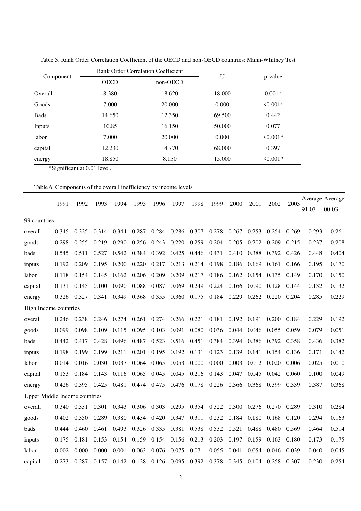|                |             | <b>Rank Order Correlation Coefficient</b> | U      |           |
|----------------|-------------|-------------------------------------------|--------|-----------|
| Component      | <b>OECD</b> | non-OECD                                  |        | p-value   |
| <b>Overall</b> | 8.380       | 18.620                                    | 18.000 | $0.001*$  |
| Goods          | 7.000       | 20.000                                    | 0.000  | $50.001*$ |
| <b>Bads</b>    | 14.650      | 12.350                                    | 69.500 | 0.442     |
| Inputs         | 10.85       | 16.150                                    | 50.000 | 0.077     |
| labor          | 7.000       | 20.000                                    | 0.000  | $50.001*$ |
| capital        | 12.230      | 14.770                                    | 68.000 | 0.397     |
| energy         | 18.850      | 8.150                                     | 15.000 | $50.001*$ |

Table 5. Rank Order Correlation Coefficient of the OECD and non-OECD countries: Mann-Whitney Test

\*Significant at 0.01 level.

|--|

|                                      | 1991  | 1992  | 1993  | 1994  | 1995        | 1996        | 1997  | 1998  | 1999        | 2000  | 2001  | 2002  | 2003  |       | Average Average |
|--------------------------------------|-------|-------|-------|-------|-------------|-------------|-------|-------|-------------|-------|-------|-------|-------|-------|-----------------|
|                                      |       |       |       |       |             |             |       |       |             |       |       |       |       | 91-03 | $00-03$         |
| 99 countries                         |       |       |       |       |             |             |       |       |             |       |       |       |       |       |                 |
| overall                              | 0.345 | 0.325 | 0.314 |       | 0.344 0.287 | 0.284       | 0.286 | 0.307 | 0.278       | 0.267 | 0.253 | 0.254 | 0.269 | 0.293 | 0.261           |
| goods                                | 0.298 | 0.255 | 0.219 | 0.290 | 0.256       | 0.243       | 0.220 | 0.259 | 0.204       | 0.205 | 0.202 | 0.209 | 0.215 | 0.237 | 0.208           |
| bads                                 | 0.545 | 0.511 | 0.527 | 0.542 | 0.384       | 0.392       | 0.425 | 0.446 | 0.431       | 0.410 | 0.388 | 0.392 | 0.426 | 0.448 | 0.404           |
| inputs                               | 0.192 | 0.209 | 0.195 | 0.200 | 0.220       | 0.217       | 0.213 | 0.214 | 0.198       | 0.186 | 0.169 | 0.161 | 0.166 | 0.195 | 0.170           |
| labor                                | 0.118 | 0.154 | 0.145 | 0.162 | 0.206       | 0.209       | 0.209 | 0.217 | 0.186       | 0.162 | 0.154 | 0.135 | 0.149 | 0.170 | 0.150           |
| capital                              | 0.131 | 0.145 | 0.100 | 0.090 | 0.088       | 0.087       | 0.069 | 0.249 | 0.224       | 0.166 | 0.090 | 0.128 | 0.144 | 0.132 | 0.132           |
| energy                               | 0.326 | 0.327 | 0.341 | 0.349 | 0.368       | 0.355       | 0.360 | 0.175 | 0.184       | 0.229 | 0.262 | 0.220 | 0.204 | 0.285 | 0.229           |
| High Income countries                |       |       |       |       |             |             |       |       |             |       |       |       |       |       |                 |
| overall                              | 0.246 | 0.238 | 0.246 |       | 0.274 0.261 | 0.274       | 0.266 | 0.221 | 0.181       | 0.192 | 0.191 | 0.200 | 0.184 | 0.229 | 0.192           |
| goods                                | 0.099 | 0.098 | 0.109 | 0.115 | 0.095       | 0.103       | 0.091 | 0.080 | 0.036       | 0.044 | 0.046 | 0.055 | 0.059 | 0.079 | 0.051           |
| bads                                 | 0.442 | 0.417 | 0.428 | 0.496 | 0.487       | 0.523       | 0.516 | 0.451 | 0.384       | 0.394 | 0.386 | 0.392 | 0.358 | 0.436 | 0.382           |
| inputs                               | 0.198 | 0.199 | 0.199 | 0.211 | 0.201       | 0.195       | 0.192 | 0.131 | 0.123       | 0.139 | 0.141 | 0.154 | 0.136 | 0.171 | 0.142           |
| labor                                | 0.014 | 0.016 | 0.030 | 0.037 | 0.064       | 0.065       | 0.053 | 0.000 | 0.000       | 0.003 | 0.012 | 0.020 | 0.006 | 0.025 | 0.010           |
| capital                              | 0.153 | 0.184 | 0.143 | 0.116 | 0.065       | 0.045       | 0.045 | 0.216 | 0.143       | 0.047 | 0.045 | 0.042 | 0.060 | 0.100 | 0.049           |
| energy                               | 0.426 | 0.395 | 0.425 | 0.481 | 0.474       | 0.475       | 0.476 | 0.178 | 0.226       | 0.366 | 0.368 | 0.399 | 0.339 | 0.387 | 0.368           |
| <b>Upper Middle Income countries</b> |       |       |       |       |             |             |       |       |             |       |       |       |       |       |                 |
| overall                              | 0.340 | 0.331 | 0.301 | 0.343 |             | 0.306 0.303 | 0.295 |       | 0.354 0.322 | 0.300 | 0.276 | 0.270 | 0.289 | 0.310 | 0.284           |
| goods                                | 0.402 | 0.350 | 0.289 | 0.380 | 0.434       | 0.420       | 0.347 | 0.311 | 0.232       | 0.184 | 0.180 | 0.168 | 0.120 | 0.294 | 0.163           |
| bads                                 | 0.444 | 0.460 | 0.461 | 0.493 | 0.326       | 0.335       | 0.381 | 0.538 | 0.532       | 0.521 | 0.488 | 0.480 | 0.569 | 0.464 | 0.514           |
| inputs                               | 0.175 | 0.181 | 0.153 | 0.154 | 0.159       | 0.154       | 0.156 | 0.213 | 0.203       | 0.197 | 0.159 | 0.163 | 0.180 | 0.173 | 0.175           |
| labor                                | 0.002 | 0.000 | 0.000 | 0.001 | 0.063       | 0.076       | 0.075 | 0.071 | 0.055       | 0.041 | 0.054 | 0.046 | 0.039 | 0.040 | 0.045           |
| capital                              | 0.273 | 0.287 | 0.157 | 0.142 | 0.128       | 0.126       | 0.095 | 0.392 | 0.378       | 0.345 | 0.104 | 0.258 | 0.307 | 0.230 | 0.254           |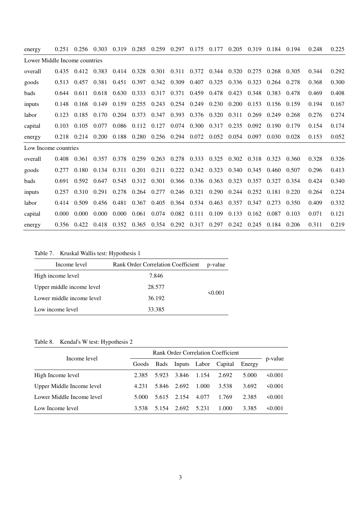| energy                        | 0.251 | 0.256 | 0.303       | 0.319 | 0.285 | 0.259 | 0.297 | 0.175             | 0.177                   | 0.205 | 0.319 | 0.184 | 0.194 | 0.248 | 0.225 |
|-------------------------------|-------|-------|-------------|-------|-------|-------|-------|-------------------|-------------------------|-------|-------|-------|-------|-------|-------|
| Lower Middle Income countries |       |       |             |       |       |       |       |                   |                         |       |       |       |       |       |       |
| overall                       | 0.435 | 0.412 | 0.383       | 0.414 | 0.328 | 0.301 |       |                   | 0.311 0.372 0.344 0.320 |       | 0.275 | 0.268 | 0.305 | 0.344 | 0.292 |
| goods                         | 0.513 | 0.457 | 0.381       | 0.451 | 0.397 | 0.342 | 0.309 | 0.407             | 0.325                   | 0.336 | 0.323 | 0.264 | 0.278 | 0.368 | 0.300 |
| bads                          | 0.644 | 0.611 | 0.618       | 0.630 | 0.333 | 0.317 | 0.371 | 0.459             | 0.478                   | 0.423 | 0.348 | 0.383 | 0.478 | 0.469 | 0.408 |
| inputs                        | 0.148 | 0.168 | 0.149       | 0.159 | 0.255 | 0.243 |       | $0.254$ 0.249     | 0.230                   | 0.200 | 0.153 | 0.156 | 0.159 | 0.194 | 0.167 |
| labor                         | 0.123 | 0.185 | 0.170       | 0.204 | 0.373 | 0.347 | 0.393 |                   | $0.376$ $0.320$         | 0.311 | 0.269 | 0.249 | 0.268 | 0.276 | 0.274 |
| capital                       | 0.103 | 0.105 | 0.077       | 0.086 | 0.112 | 0.127 | 0.074 | 0.300             | 0.317                   | 0.235 | 0.092 | 0.190 | 0.179 | 0.154 | 0.174 |
| energy                        | 0.218 | 0.214 | 0.200       | 0.188 | 0.280 | 0.256 | 0.294 | 0.072             | 0.052                   | 0.054 | 0.097 | 0.030 | 0.028 | 0.153 | 0.052 |
| Low Income countries          |       |       |             |       |       |       |       |                   |                         |       |       |       |       |       |       |
| overall                       | 0.408 | 0.361 | 0.357       | 0.378 | 0.259 | 0.263 |       |                   | 0.278 0.333 0.325       | 0.302 | 0.318 | 0.323 | 0.360 | 0.328 | 0.326 |
| goods                         | 0.277 | 0.180 | 0.134       | 0.311 | 0.201 | 0.211 | 0.222 | 0.342             | 0.323                   | 0.340 | 0.345 | 0.460 | 0.507 | 0.296 | 0.413 |
| bads                          | 0.691 | 0.592 | 0.647       | 0.545 | 0.312 | 0.301 |       | 0.366 0.336       | 0.363                   | 0.323 | 0.357 | 0.327 | 0.354 | 0.424 | 0.340 |
| inputs                        | 0.257 | 0.310 | 0.291       | 0.278 | 0.264 | 0.277 |       | $0.246$ 0.321     | 0.290                   | 0.244 | 0.252 | 0.181 | 0.220 | 0.264 | 0.224 |
| labor                         | 0.414 | 0.509 | 0.456 0.481 |       | 0.367 | 0.405 |       | 0.364 0.534 0.463 |                         | 0.357 | 0.347 | 0.273 | 0.350 | 0.409 | 0.332 |
| capital                       | 0.000 | 0.000 | 0.000       | 0.000 | 0.061 | 0.074 | 0.082 | 0.111             | 0.109                   | 0.133 | 0.162 | 0.087 | 0.103 | 0.071 | 0.121 |
| energy                        | 0.356 | 0.422 | 0.418       | 0.352 | 0.365 | 0.354 | 0.292 | 0.317             | 0.297                   | 0.242 | 0.245 | 0.184 | 0.206 | 0.311 | 0.219 |

Table 7. Kruskal Wallis test: Hypothesis 1

| Income level              | Rank Order Correlation Coefficient | p-value      |
|---------------------------|------------------------------------|--------------|
| High income level         | 7.846                              |              |
| Upper middle income level | 28.577                             |              |
| Lower middle income level | 36.192                             | $\leq 0.001$ |
| Low income level          | 33.385                             |              |

# Table 8. Kendal's W test: Hypothesis 2

| Income level              |       |       |             |       |                      |        |              |
|---------------------------|-------|-------|-------------|-------|----------------------|--------|--------------|
|                           | Goods | Bads  |             |       | Inputs Labor Capital | Energy | p-value      |
| High Income level         | 2.385 | 5.923 | 3.846       | 1.154 | 2.692                | 5.000  | $\leq 0.001$ |
| Upper Middle Income level | 4.231 | 5.846 | 2.692       | 1.000 | 3.538                | 3.692  | $\leq 0.001$ |
| Lower Middle Income level | 5.000 |       | 5.615 2.154 | 4.077 | 1.769                | 2.385  | $\leq 0.001$ |
| Low Income level          | 3.538 | 5.154 | 2.692       | 5.231 | 1.000                | 3.385  | $\leq 0.001$ |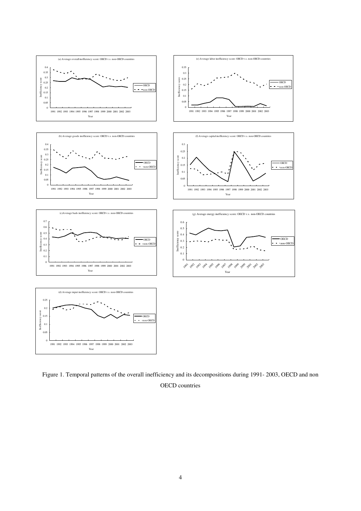

Figure 1. Temporal patterns of the overall inefficiency and its decompositions during 1991- 2003, OECD and non OECD countries